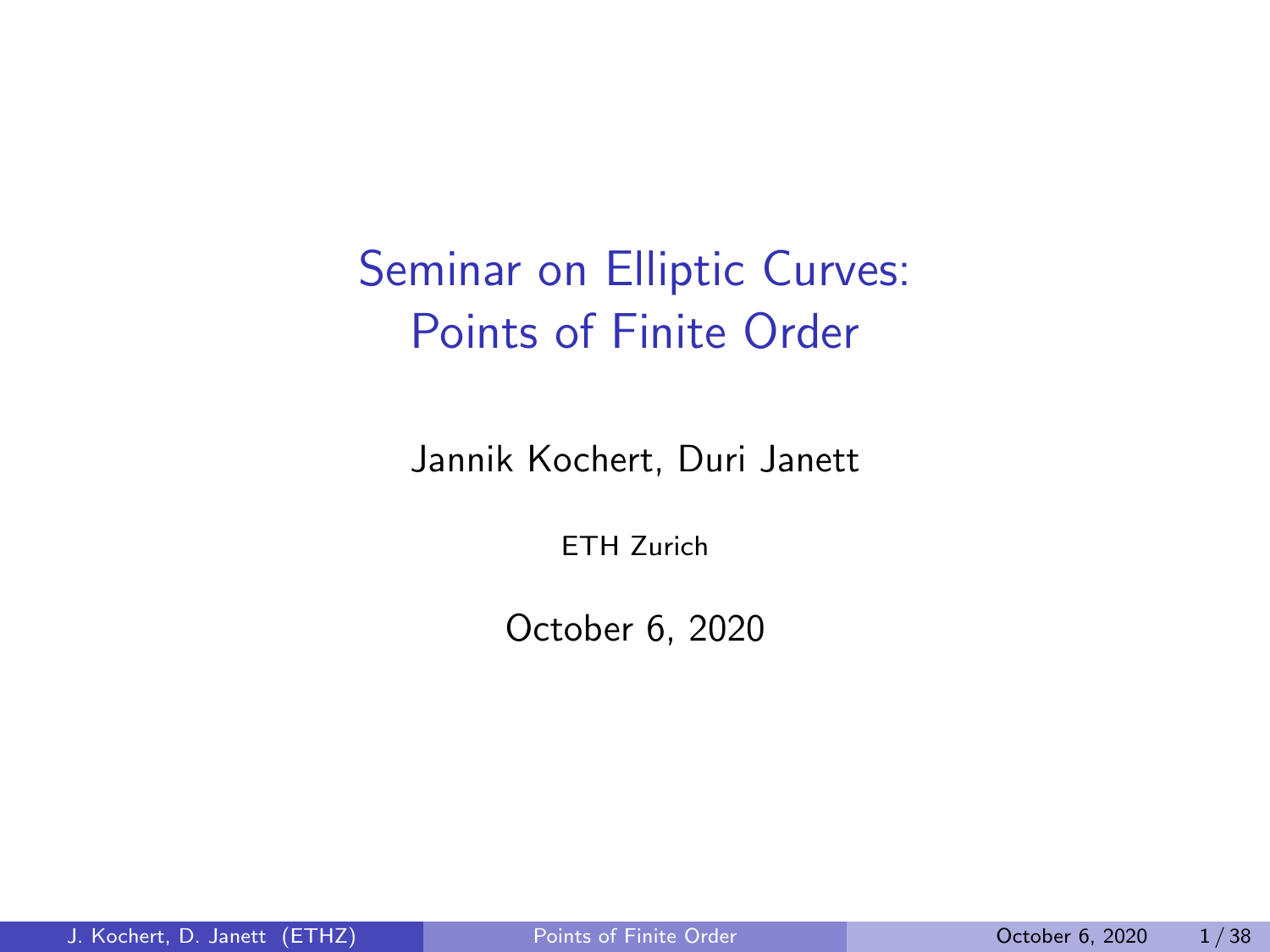# <span id="page-0-0"></span>Seminar on Elliptic Curves: Points of Finite Order

Jannik Kochert, Duri Janett

ETH Zurich

October 6, 2020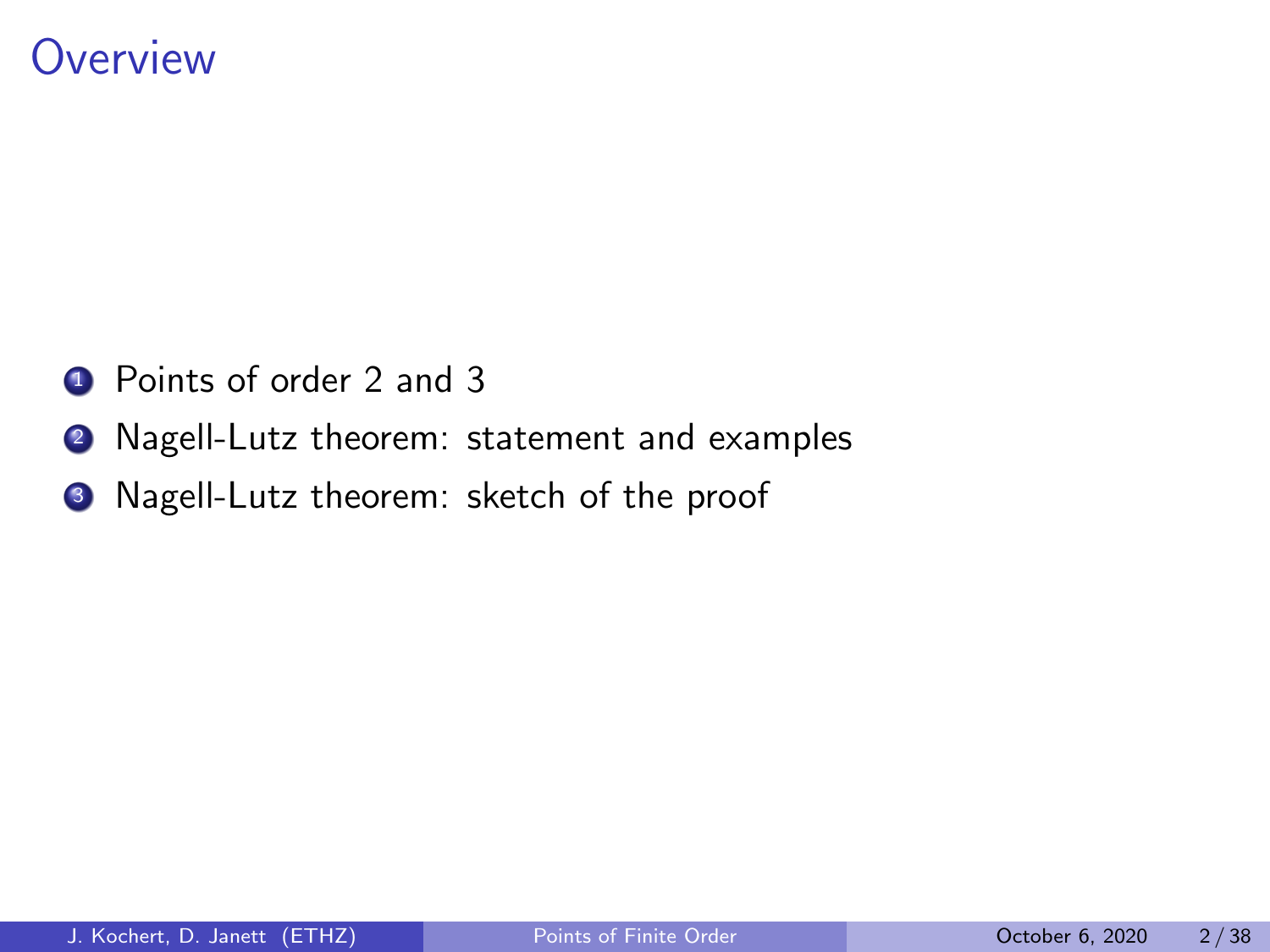### **Overview**

- **1** Points of order 2 and 3
- <sup>2</sup> Nagell-Lutz theorem: statement and examples
- <sup>3</sup> Nagell-Lutz theorem: sketch of the proof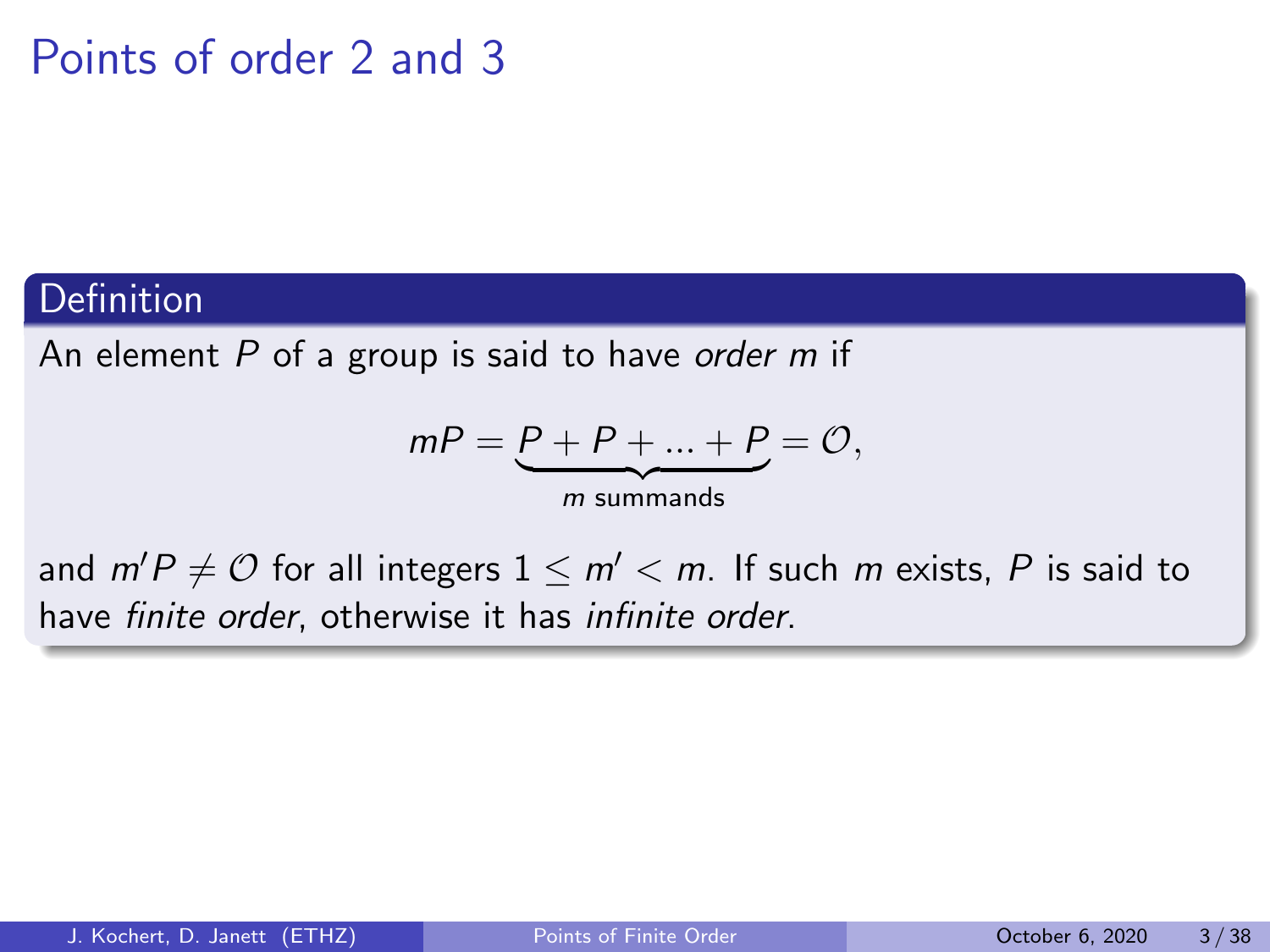#### **Definition**

An element  $P$  of a group is said to have order  $m$  if

$$
mP = \underbrace{P+P+...+P}_{m \text{ summands}} = \mathcal{O},
$$

and  $m'P \neq O$  for all integers  $1 \leq m' < m$ . If such m exists, P is said to have finite order, otherwise it has infinite order.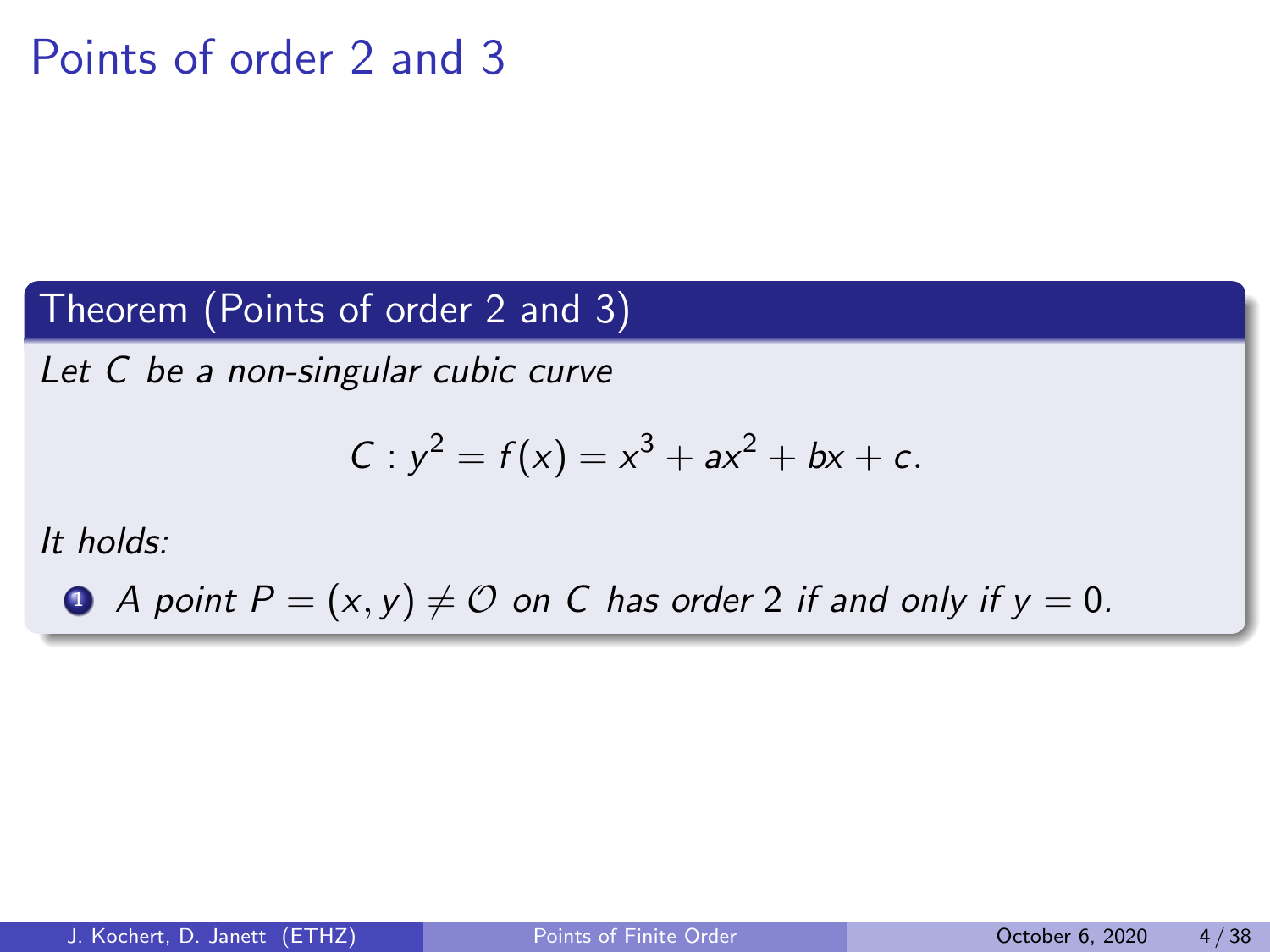### Theorem (Points of order 2 and 3)

Let C be a non-singular cubic curve

$$
C: y^2 = f(x) = x^3 + ax^2 + bx + c.
$$

It holds:

**4** A point  $P = (x, y) \neq 0$  on C has order 2 if and only if  $y = 0$ .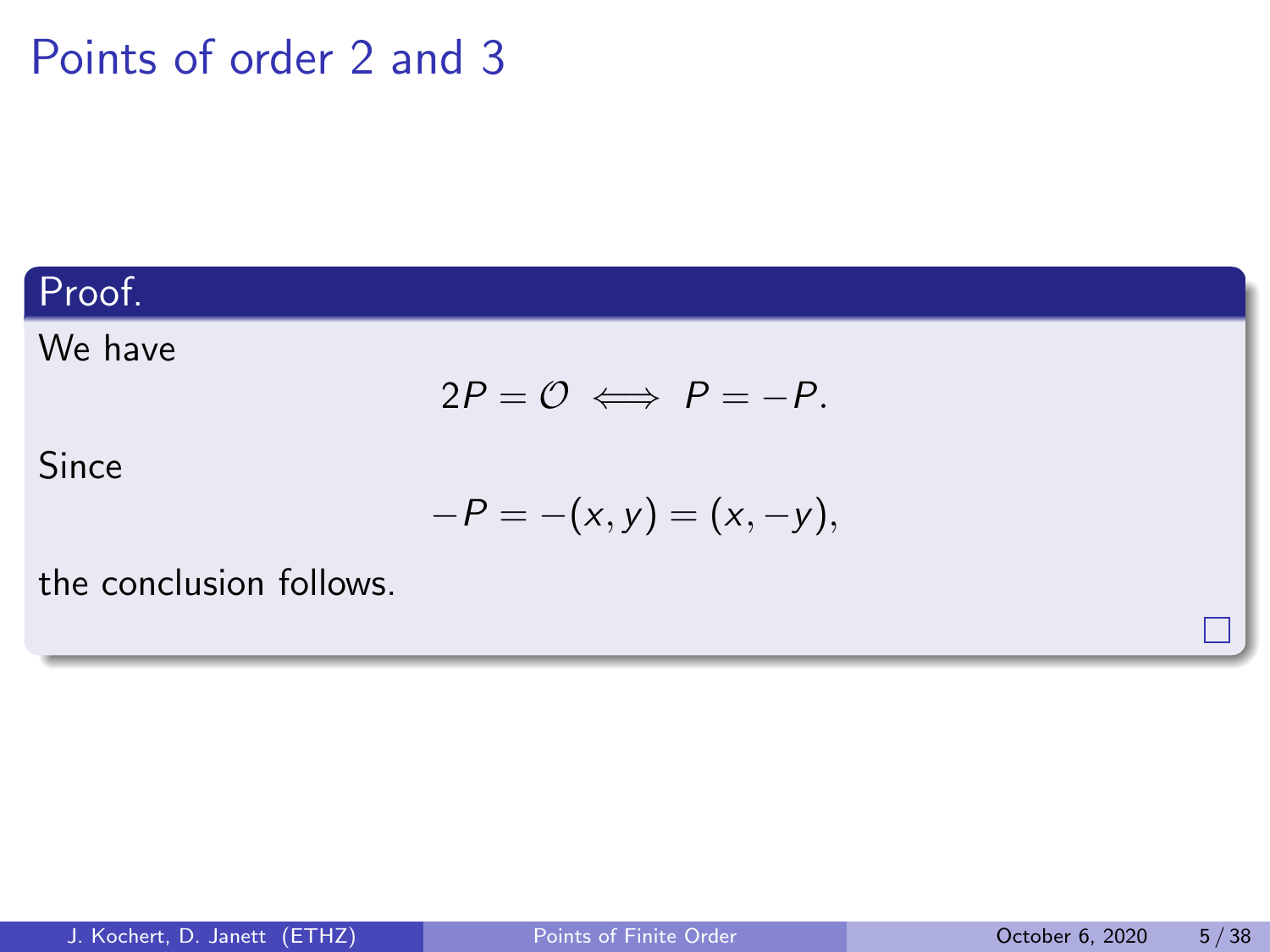### Proof.

#### We have

$$
2P = \mathcal{O} \iff P = -P.
$$

Since

$$
-P=-(x,y)=(x,-y),
$$

the conclusion follows.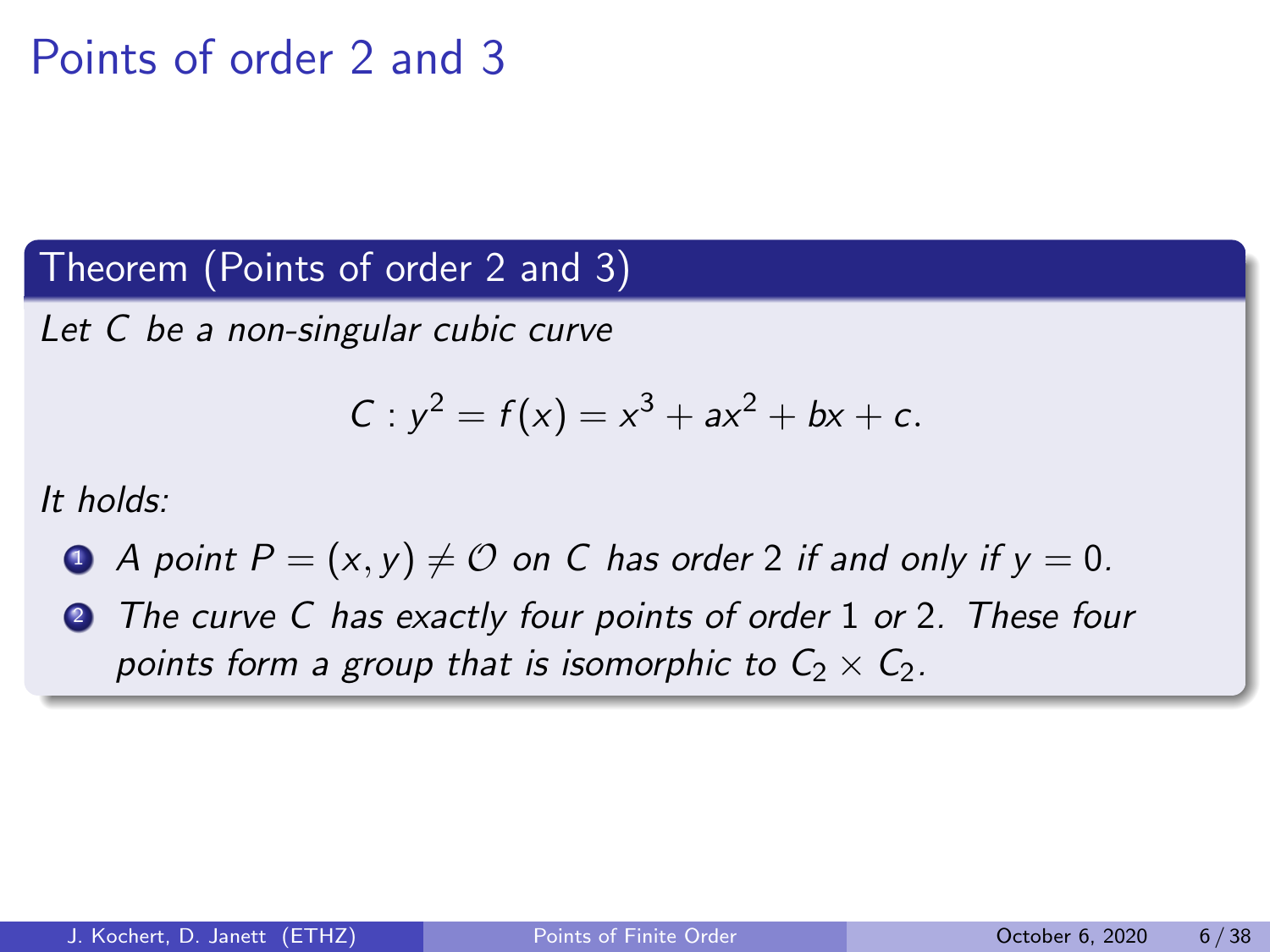Theorem (Points of order 2 and 3)

Let C be a non-singular cubic curve

$$
C: y^2 = f(x) = x^3 + ax^2 + bx + c.
$$

It holds:

- <span id="page-5-0"></span>**1** A point  $P = (x, y) \neq 0$  on C has order 2 if and only if  $y = 0$ .
- **2** The curve C has exactly four points of order 1 or 2. These four points form a group that is isomorphic to  $C_2 \times C_2$ .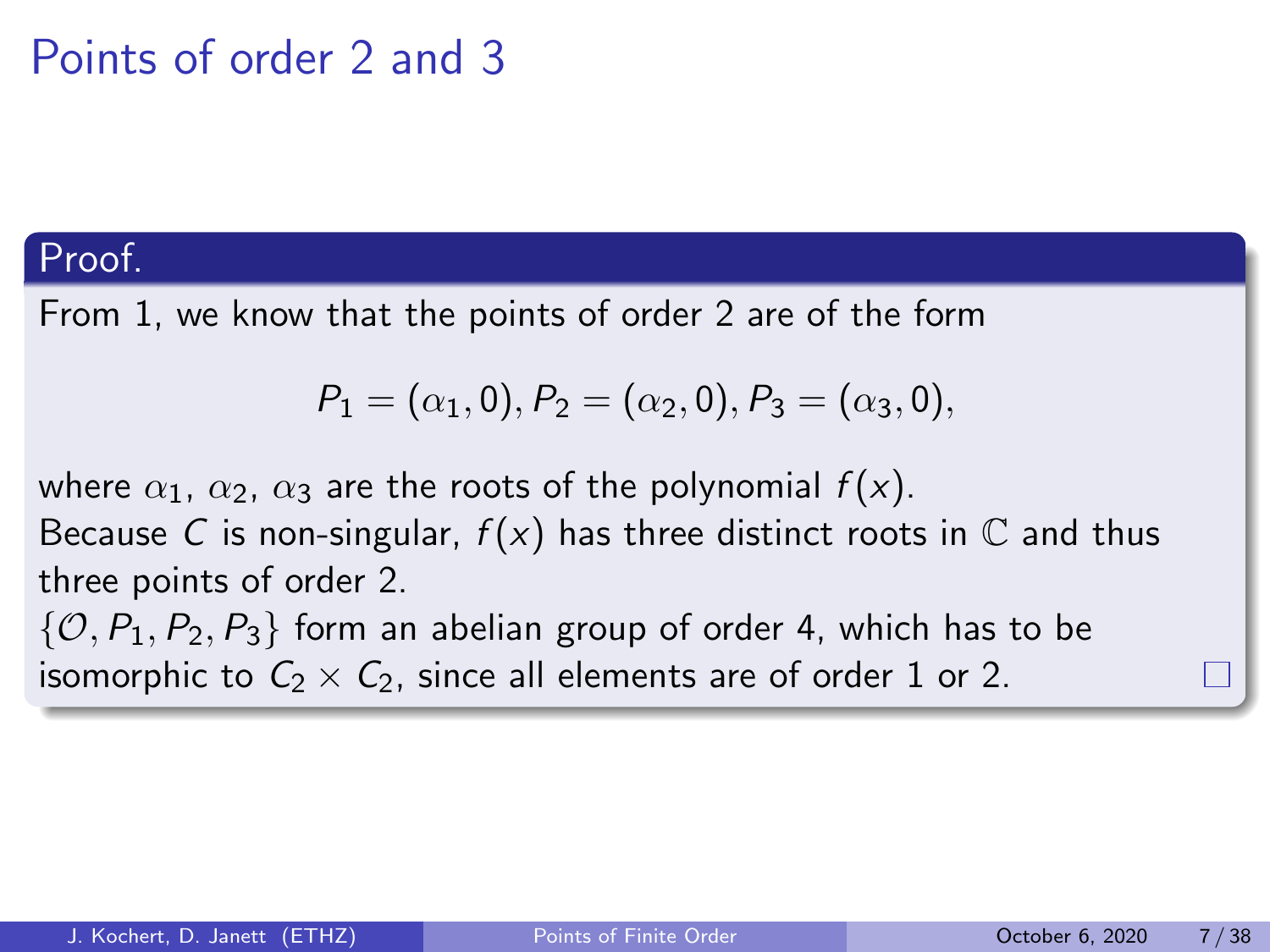### Proof.

From [1,](#page-5-0) we know that the points of order 2 are of the form

$$
P_1 = (\alpha_1, 0), P_2 = (\alpha_2, 0), P_3 = (\alpha_3, 0),
$$

where  $\alpha_1$ ,  $\alpha_2$ ,  $\alpha_3$  are the roots of the polynomial  $f(x)$ .

Because C is non-singular,  $f(x)$  has three distinct roots in  $\mathbb C$  and thus three points of order 2.

 $\{O, P_1, P_2, P_3\}$  form an abelian group of order 4, which has to be isomorphic to  $C_2 \times C_2$ , since all elements are of order 1 or 2.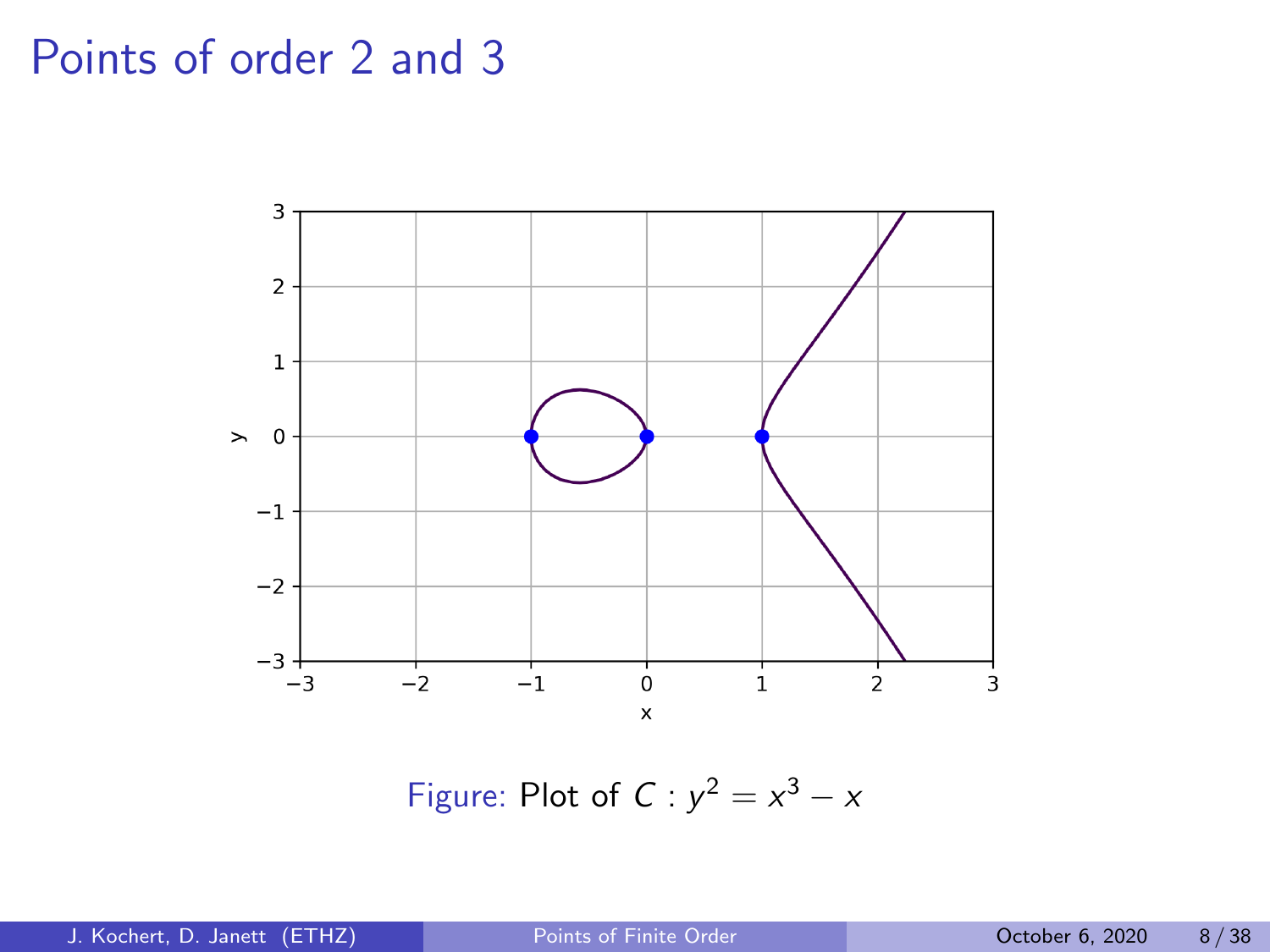

Figure: Plot of  $C: y^2 = x^3 - x$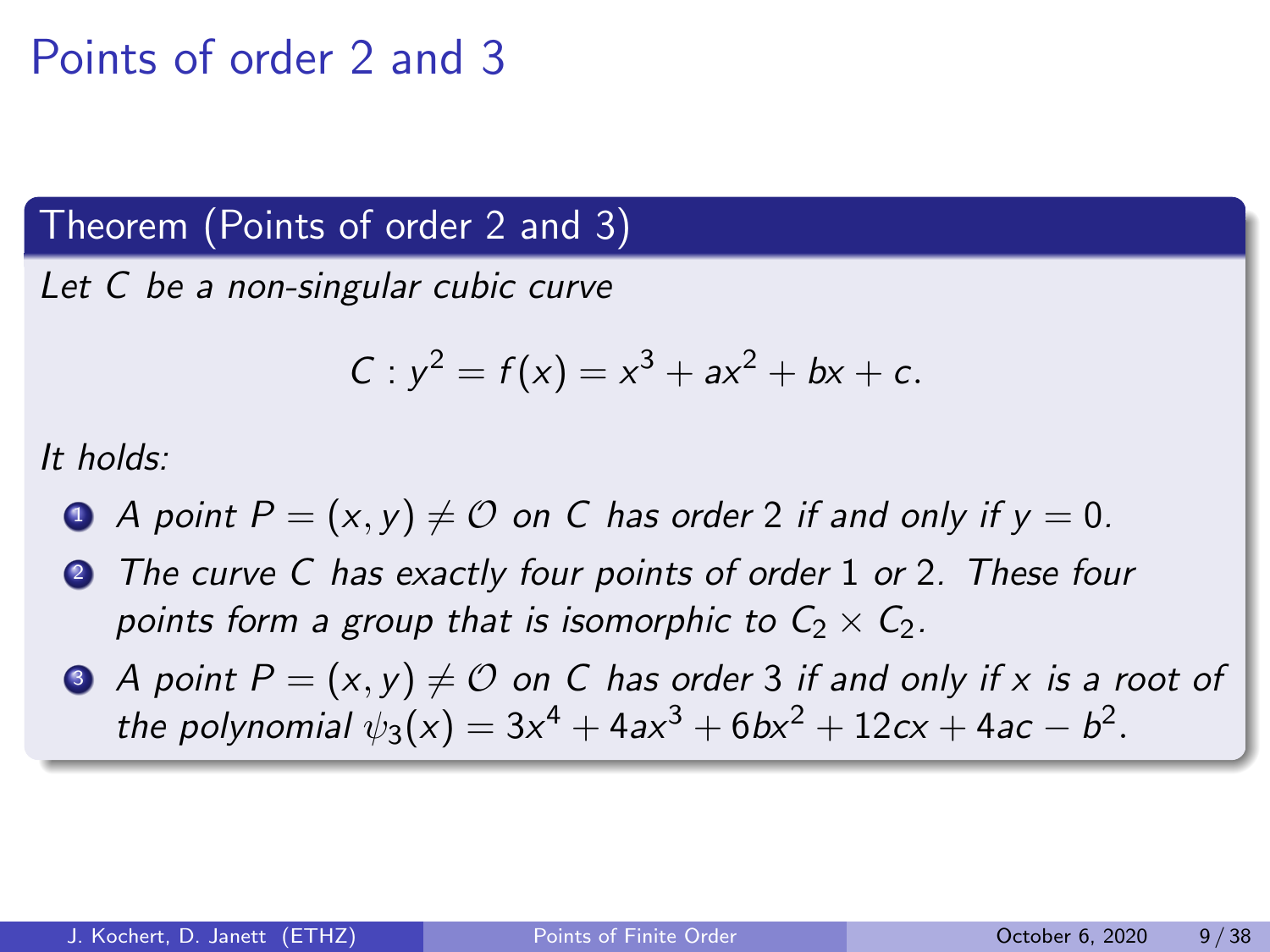#### Theorem (Points of order 2 and 3)

Let C be a non-singular cubic curve

$$
C: y^2 = f(x) = x^3 + ax^2 + bx + c.
$$

It holds:

- $\bullet$  A point  $P = (x, y) \neq \mathcal{O}$  on C has order 2 if and only if  $y = 0$ .
- **2** The curve C has exactly four points of order 1 or 2. These four points form a group that is isomorphic to  $C_2 \times C_2$ .
- $\bullet$  A point  $P = (x, y) \neq 0$  on C has order 3 if and only if x is a root of the polynomial  $\psi_3(x) = 3x^4 + 4ax^3 + 6bx^2 + 12cx + 4ac - b^2$ .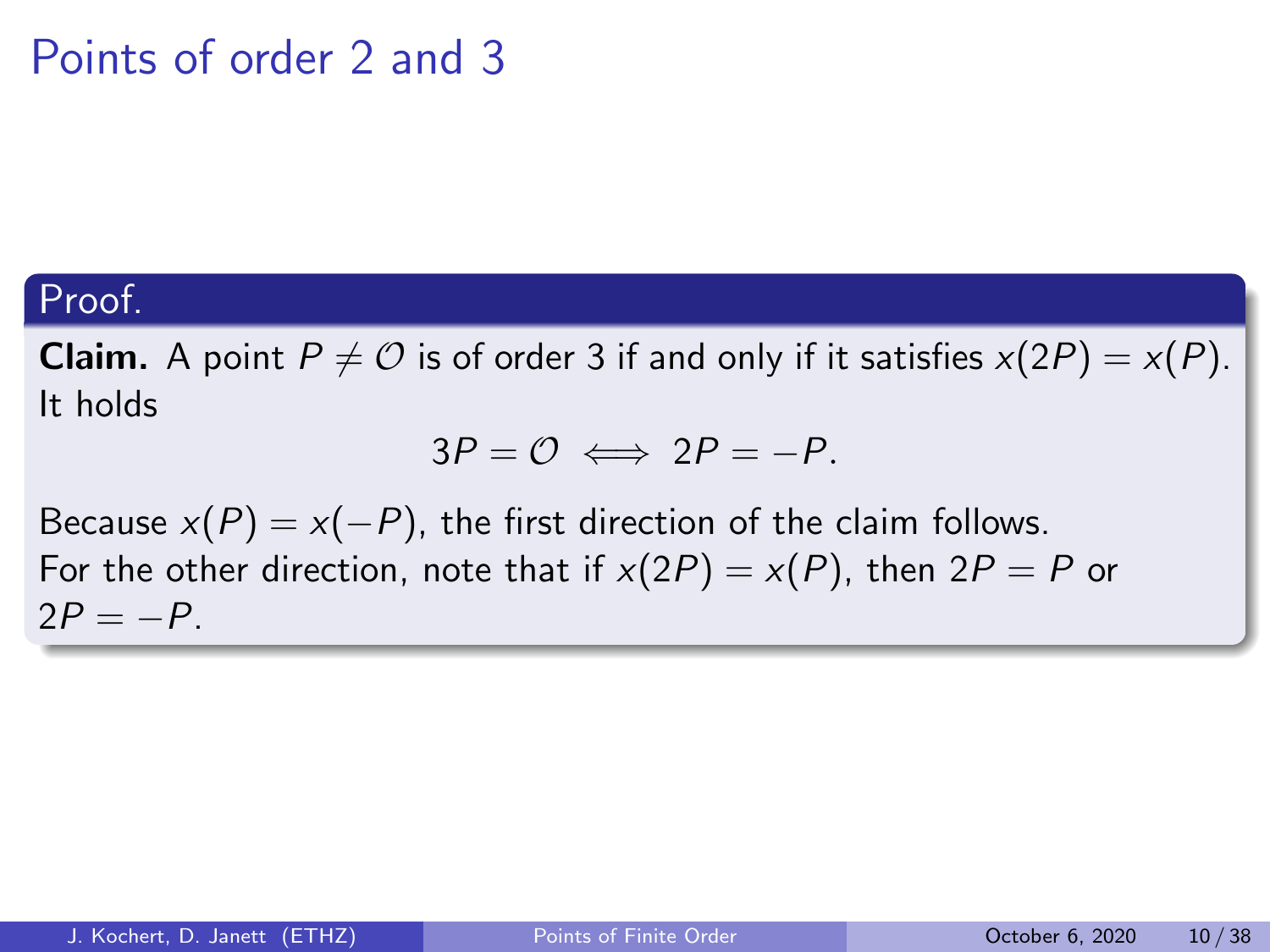### Proof.

**Claim.** A point  $P \neq \mathcal{O}$  is of order 3 if and only if it satisfies  $x(2P) = x(P)$ . It holds

$$
3P = \mathcal{O} \iff 2P = -P.
$$

Because  $x(P) = x(-P)$ , the first direction of the claim follows. For the other direction, note that if  $x(2P) = x(P)$ , then  $2P = P$  or  $2P = -P$ .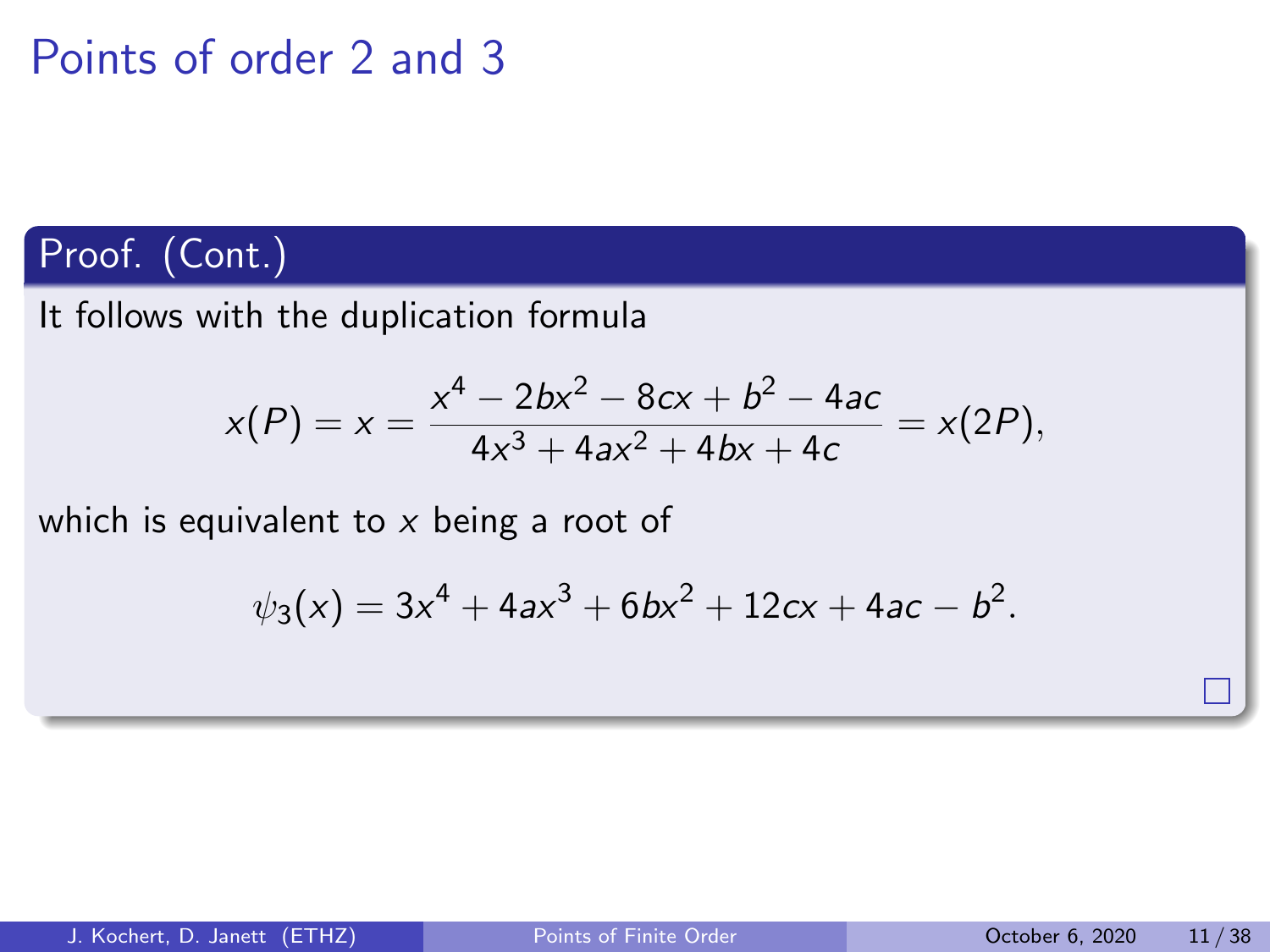### Proof. (Cont.)

It follows with the duplication formula

$$
x(P) = x = \frac{x^4 - 2bx^2 - 8cx + b^2 - 4ac}{4x^3 + 4ax^2 + 4bx + 4c} = x(2P),
$$

which is equivalent to  $x$  being a root of

$$
\psi_3(x) = 3x^4 + 4ax^3 + 6bx^2 + 12cx + 4ac - b^2.
$$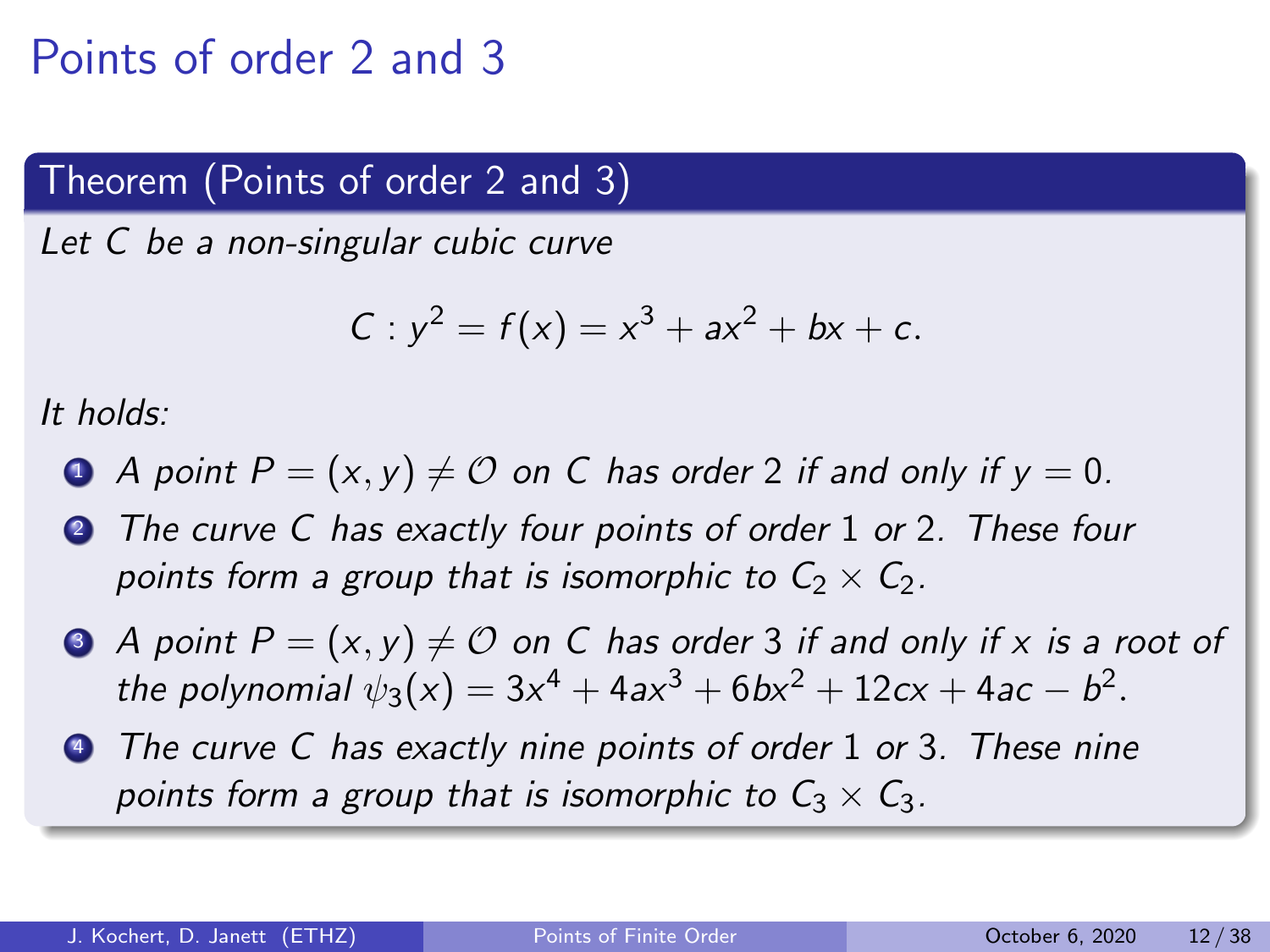### Theorem (Points of order 2 and 3)

Let C be a non-singular cubic curve

$$
C: y^2 = f(x) = x^3 + ax^2 + bx + c.
$$

It holds:

- A point  $P = (x, y) \neq 0$  on C has order 2 if and only if  $y = 0$ .
- **2** The curve C has exactly four points of order 1 or 2. These four points form a group that is isomorphic to  $C_2 \times C_2$ .
- $\bullet$  A point  $P = (x, y) \neq \mathcal{O}$  on C has order 3 if and only if x is a root of the polynomial  $\psi_3(x) = 3x^4 + 4ax^3 + 6bx^2 + 12cx + 4ac - b^2$ .
- **4** The curve C has exactly nine points of order 1 or 3. These nine points form a group that is isomorphic to  $C_3 \times C_3$ .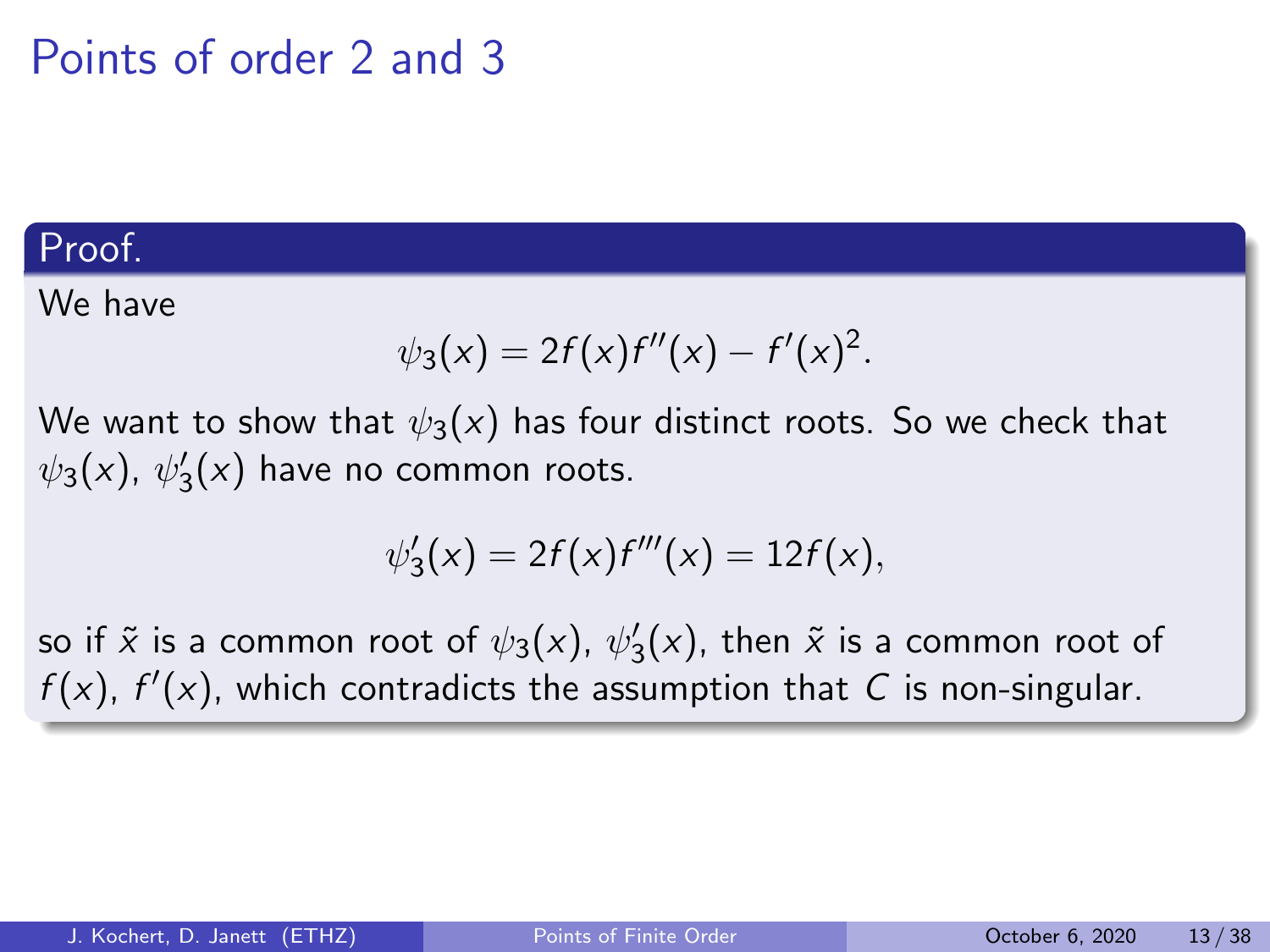#### Proof.

We have

$$
\psi_3(x) = 2f(x)f''(x) - f'(x)^2.
$$

We want to show that  $\psi_3(x)$  has four distinct roots. So we check that  $\psi_3(x)$ ,  $\psi_3'(x)$  have no common roots.

$$
\psi_3'(x) = 2f(x)f'''(x) = 12f(x),
$$

so if  $\tilde{x}$  is a common root of  $\psi_3(x)$ ,  $\psi_3'(x)$ , then  $\tilde{x}$  is a common root of  $f(x)$ ,  $f'(x)$ , which contradicts the assumption that C is non-singular.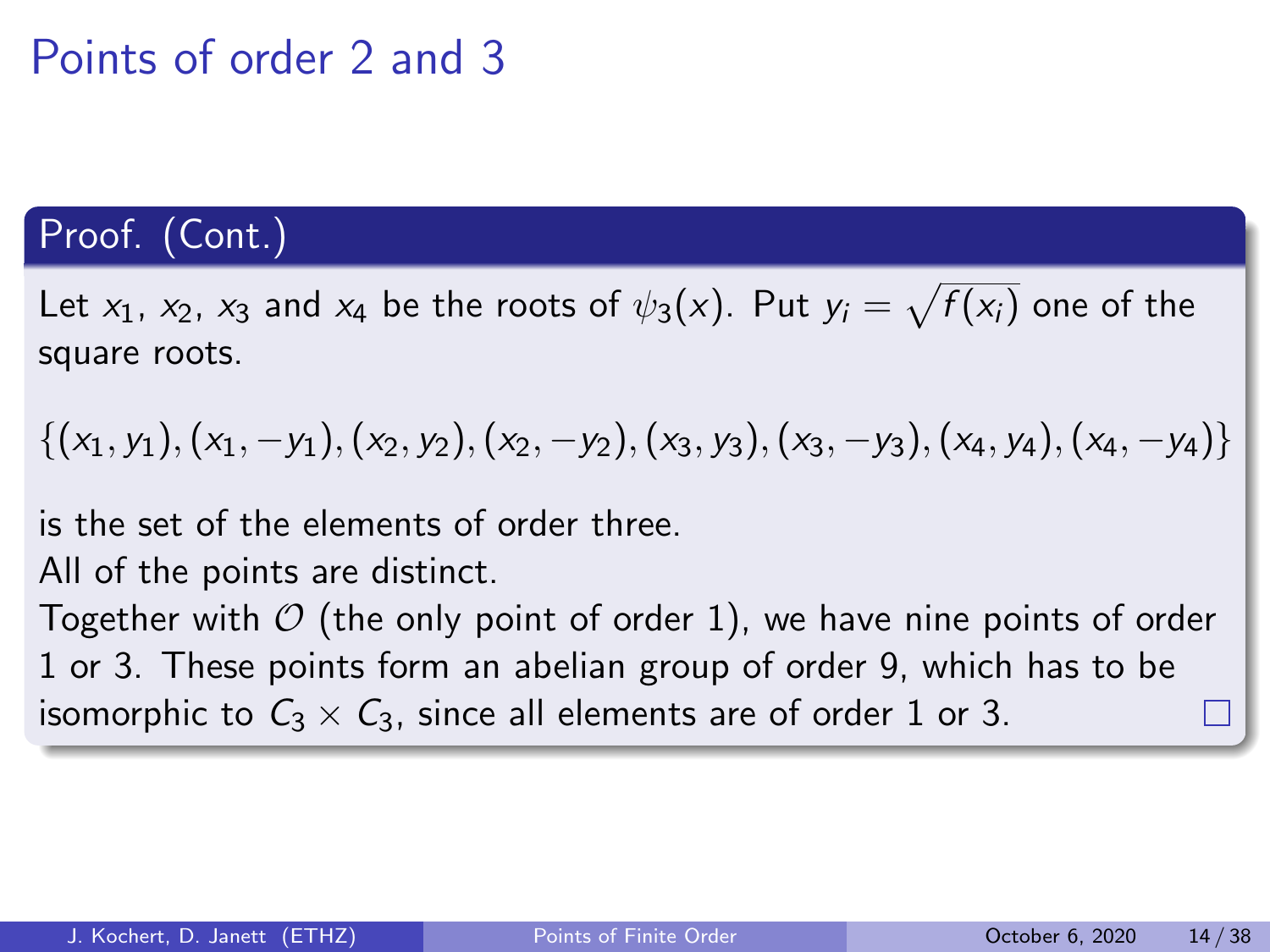### Proof. (Cont.)

Let  $x_1$ ,  $x_2$ ,  $x_3$  and  $x_4$  be the roots of  $\psi_3(x)$ . Put  $y_i = \sqrt{f(x_i)}$  one of the square roots.

 $\{(x_1, y_1), (x_1, -y_1), (x_2, y_2), (x_2, -y_2), (x_3, y_3), (x_3, -y_3), (x_4, y_4), (x_4, -y_4)\}\$ 

is the set of the elements of order three.

All of the points are distinct.

Together with  $\mathcal O$  (the only point of order 1), we have nine points of order 1 or 3. These points form an abelian group of order 9, which has to be isomorphic to  $C_3 \times C_3$ , since all elements are of order 1 or 3.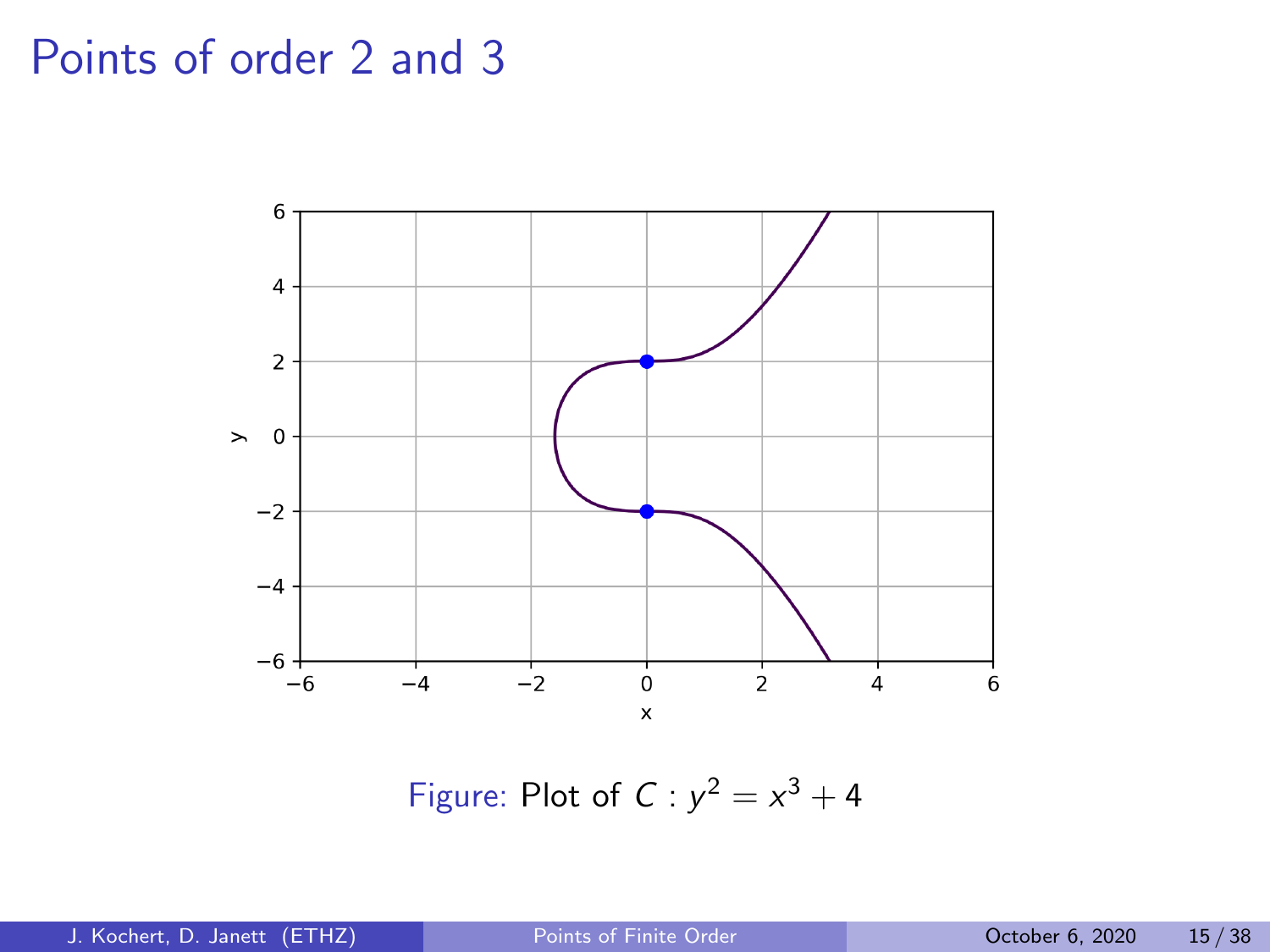

Figure: Plot of  $C: y^2 = x^3 + 4$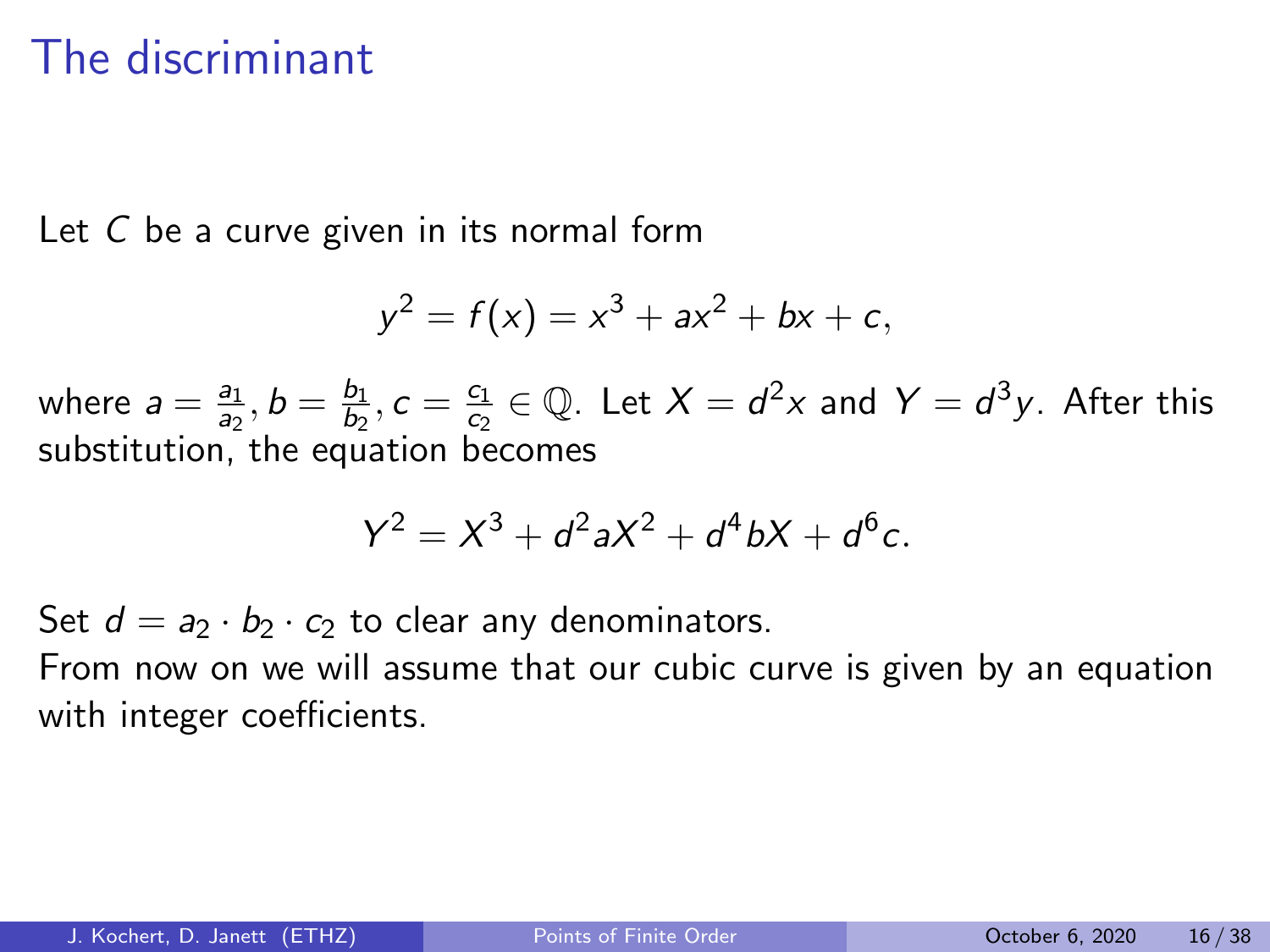## The discriminant

Let C be a curve given in its normal form

$$
y^2 = f(x) = x^3 + ax^2 + bx + c,
$$

where  $a = \frac{a_1}{a_2}$  $\frac{a_1}{a_2}, b = \frac{b_1}{b_2}$  $\frac{b_1}{b_2}, c = \frac{c_1}{c_2}$  $\frac{c_1}{c_2} \in \mathbb{Q}$ . Let  $X = d^2x$  and  $Y = d^3y$ . After this substitution. the equation becomes

$$
Y^2 = X^3 + d^2 a X^2 + d^4 b X + d^6 c.
$$

Set  $d = a_2 \cdot b_2 \cdot c_2$  to clear any denominators.

From now on we will assume that our cubic curve is given by an equation with integer coefficients.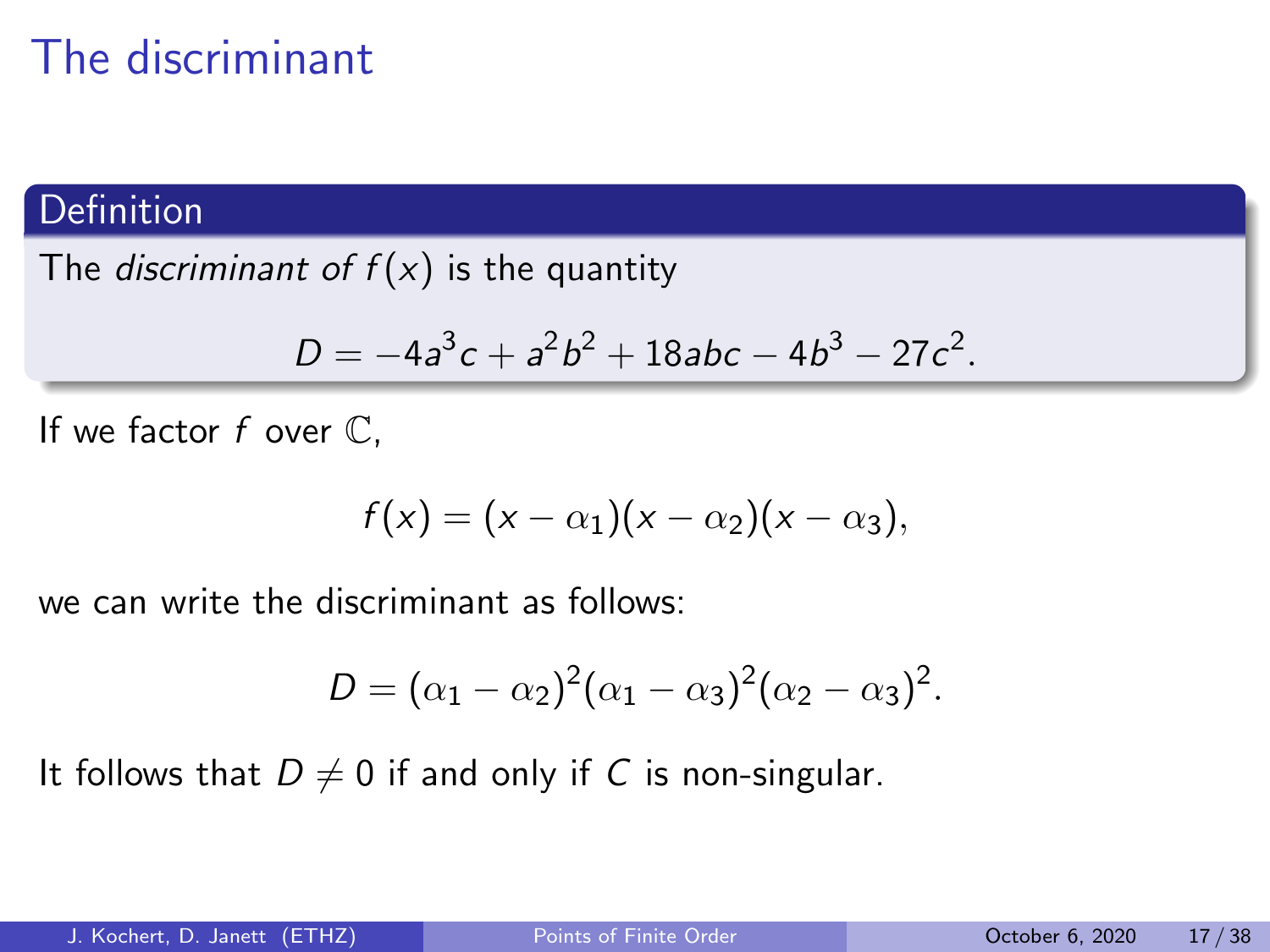# The discriminant

#### Definition

The *discriminant of*  $f(x)$  is the quantity

$$
D=-4a^3c+a^2b^2+18abc-4b^3-27c^2.
$$

If we factor  $f$  over  $\mathbb{C}$ ,

$$
f(x)=(x-\alpha_1)(x-\alpha_2)(x-\alpha_3),
$$

we can write the discriminant as follows:

$$
D = (\alpha_1 - \alpha_2)^2 (\alpha_1 - \alpha_3)^2 (\alpha_2 - \alpha_3)^2.
$$

It follows that  $D \neq 0$  if and only if C is non-singular.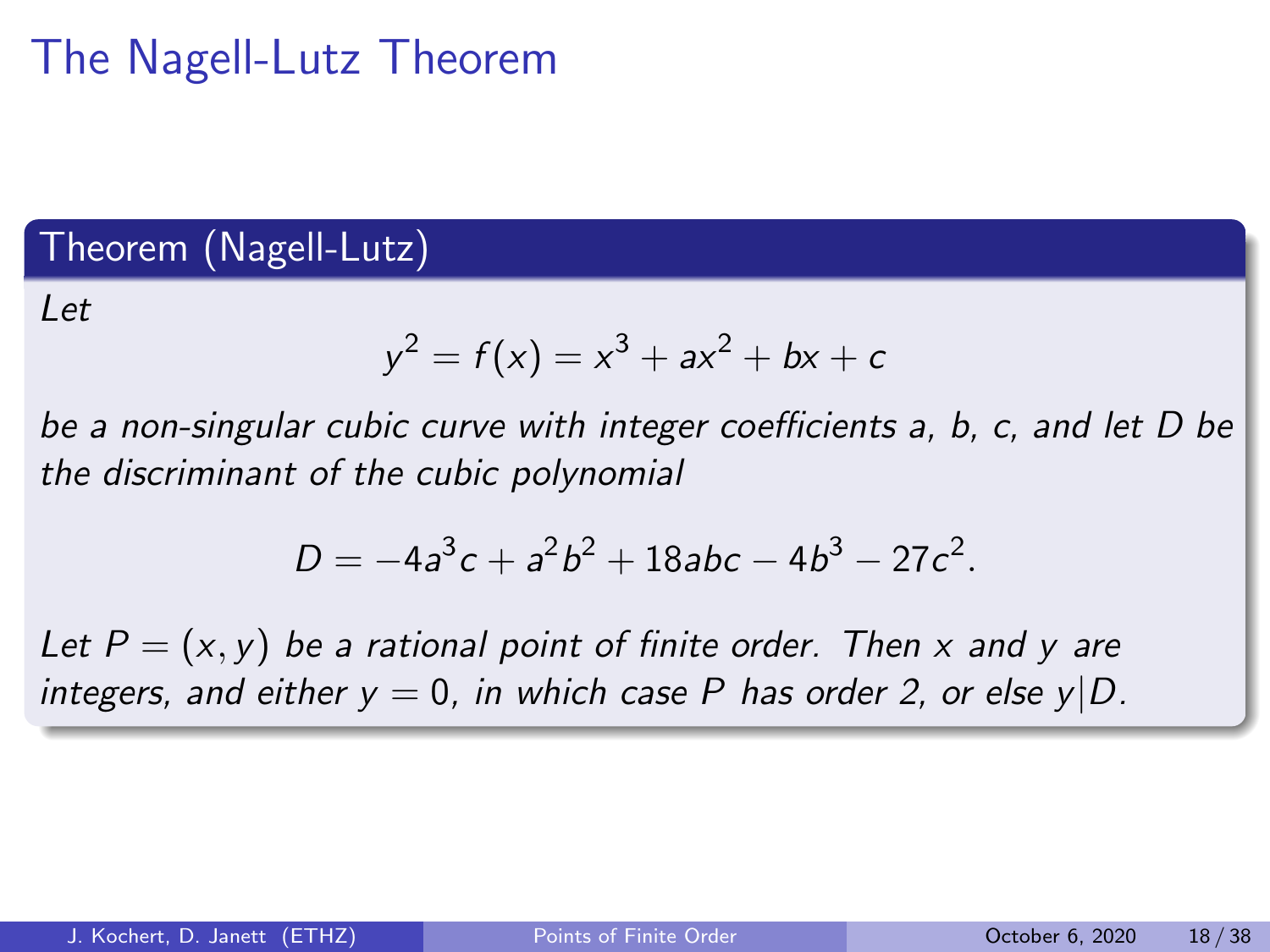# The Nagell-Lutz Theorem

### Theorem (Nagell-Lutz)

 $let$ 

$$
y^2 = f(x) = x^3 + ax^2 + bx + c
$$

be a non-singular cubic curve with integer coefficients a, b, c, and let D be the discriminant of the cubic polynomial

$$
D=-4a^3c+a^2b^2+18abc-4b^3-27c^2.
$$

Let  $P = (x, y)$  be a rational point of finite order. Then x and y are integers, and either  $y = 0$ , in which case P has order 2, or else  $y|D$ .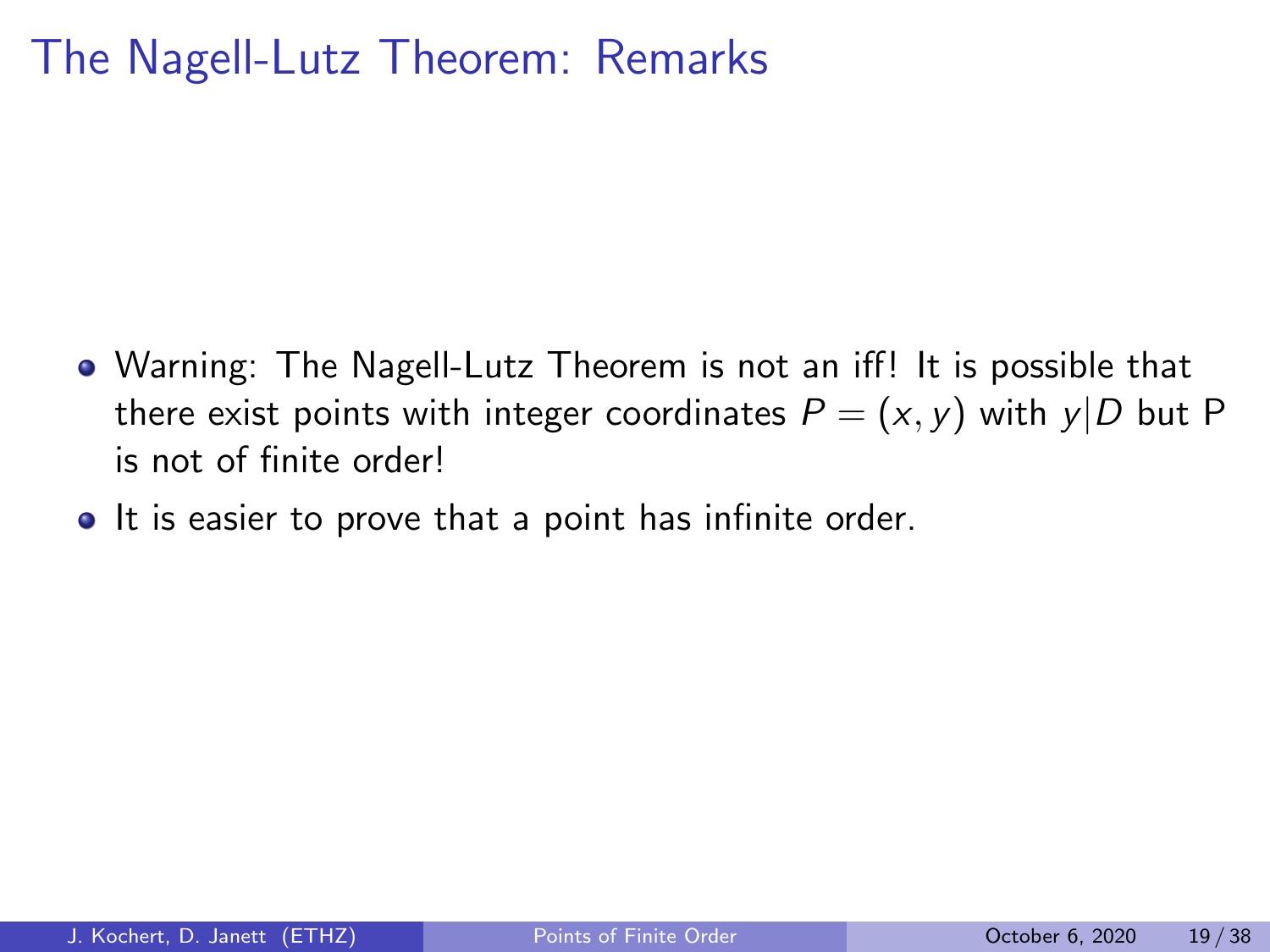# The Nagell-Lutz Theorem: Remarks

- Warning: The Nagell-Lutz Theorem is not an iff! It is possible that there exist points with integer coordinates  $P = (x, y)$  with  $y|D$  but P is not of finite order!
- It is easier to prove that a point has infinite order.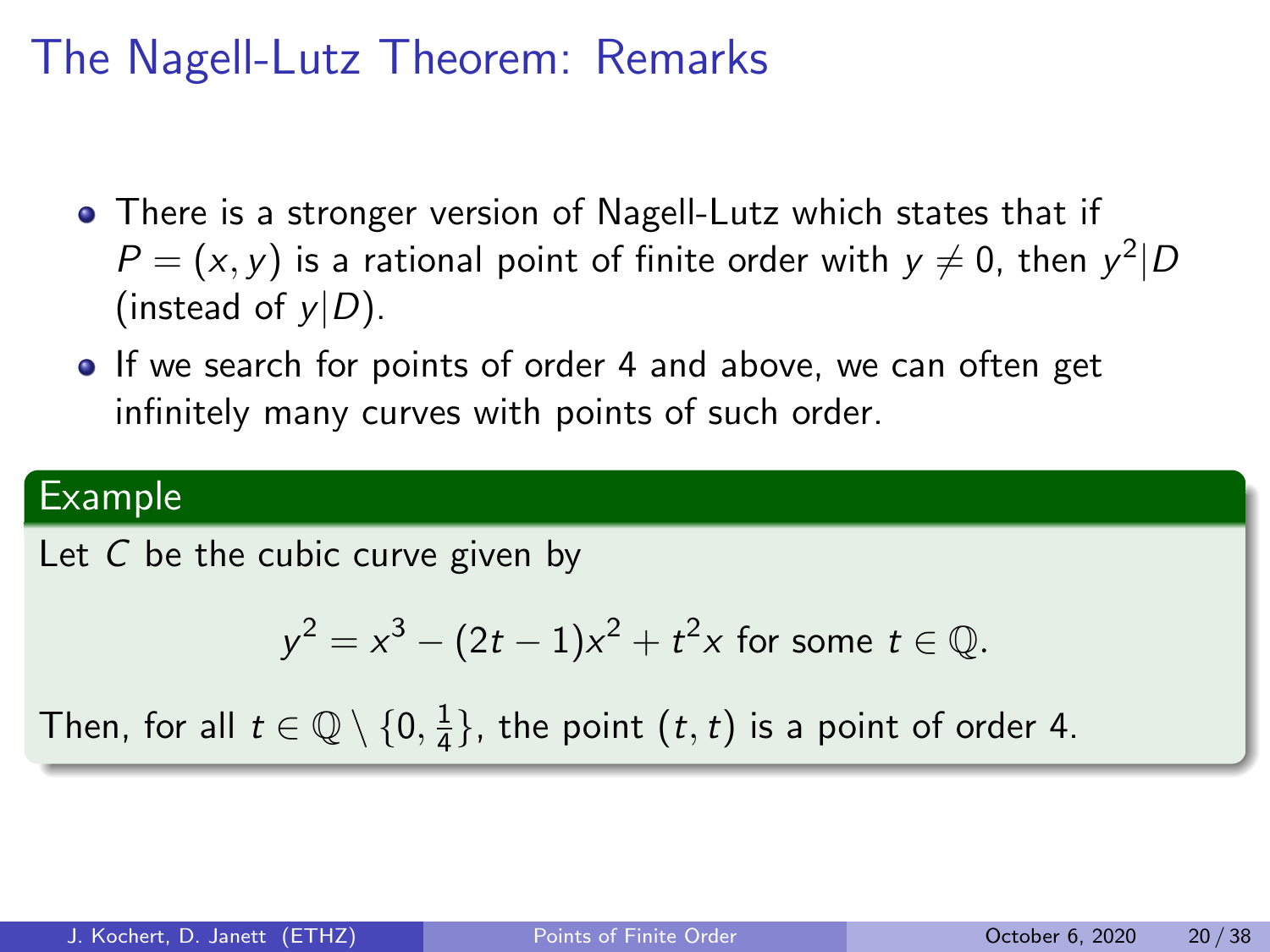# The Nagell-Lutz Theorem: Remarks

- There is a stronger version of Nagell-Lutz which states that if  $P=(x,y)$  is a rational point of finite order with  $y\neq 0$ , then  $y^2\vert D$ (instead of  $y|D$ ).
- If we search for points of order 4 and above, we can often get infinitely many curves with points of such order.

#### Example

Let C be the cubic curve given by

$$
y^2 = x^3 - (2t - 1)x^2 + t^2x
$$
 for some  $t \in \mathbb{Q}$ .

Then, for all  $t\in\mathbb{Q}\setminus\{0,\frac{1}{4}\}$  $\frac{1}{4}$ }, the point  $(t, t)$  is a point of order 4.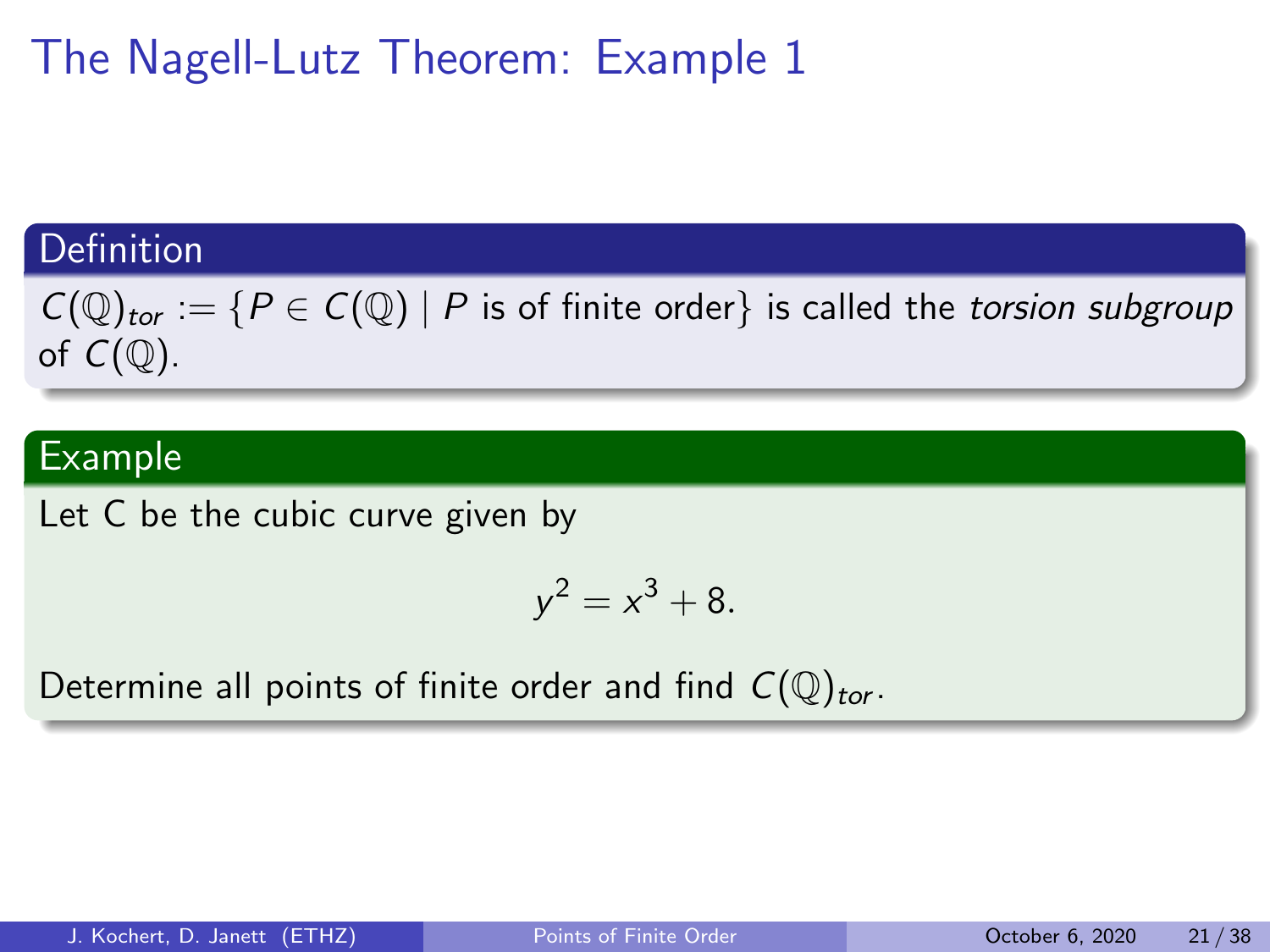# The Nagell-Lutz Theorem: Example 1

### Definition

 $C(\mathbb{Q})_{tor} := \{ P \in C(\mathbb{Q}) \mid P \text{ is of finite order} \}$  is called the torsion subgroup of  $C(\mathbb{Q})$ .

### Example

Let C be the cubic curve given by

$$
y^2 = x^3 + 8.
$$

Determine all points of finite order and find  $C(\mathbb{Q})_{tor}$ .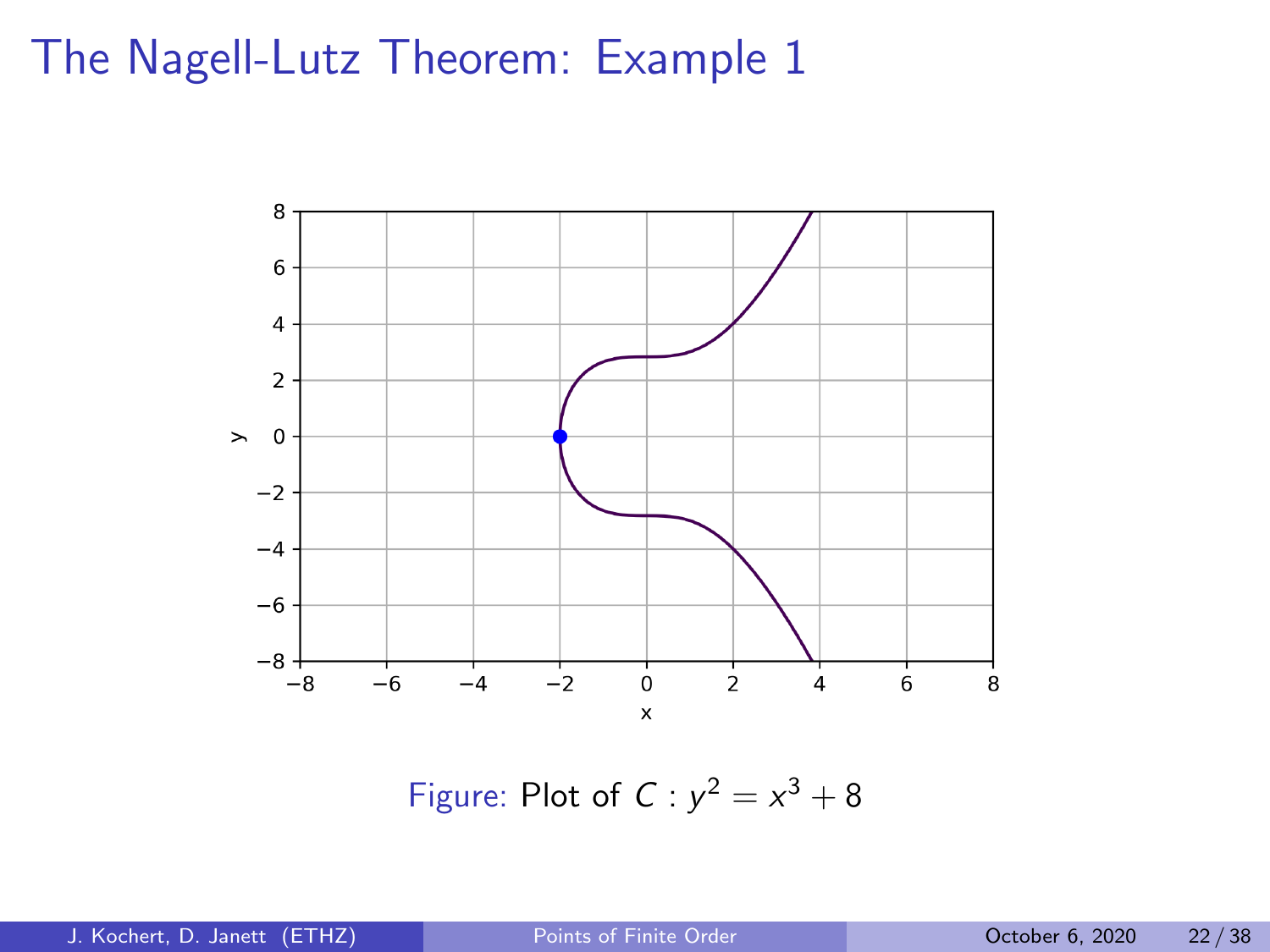## The Nagell-Lutz Theorem: Example 1



Figure: Plot of  $C: y^2 = x^3 + 8$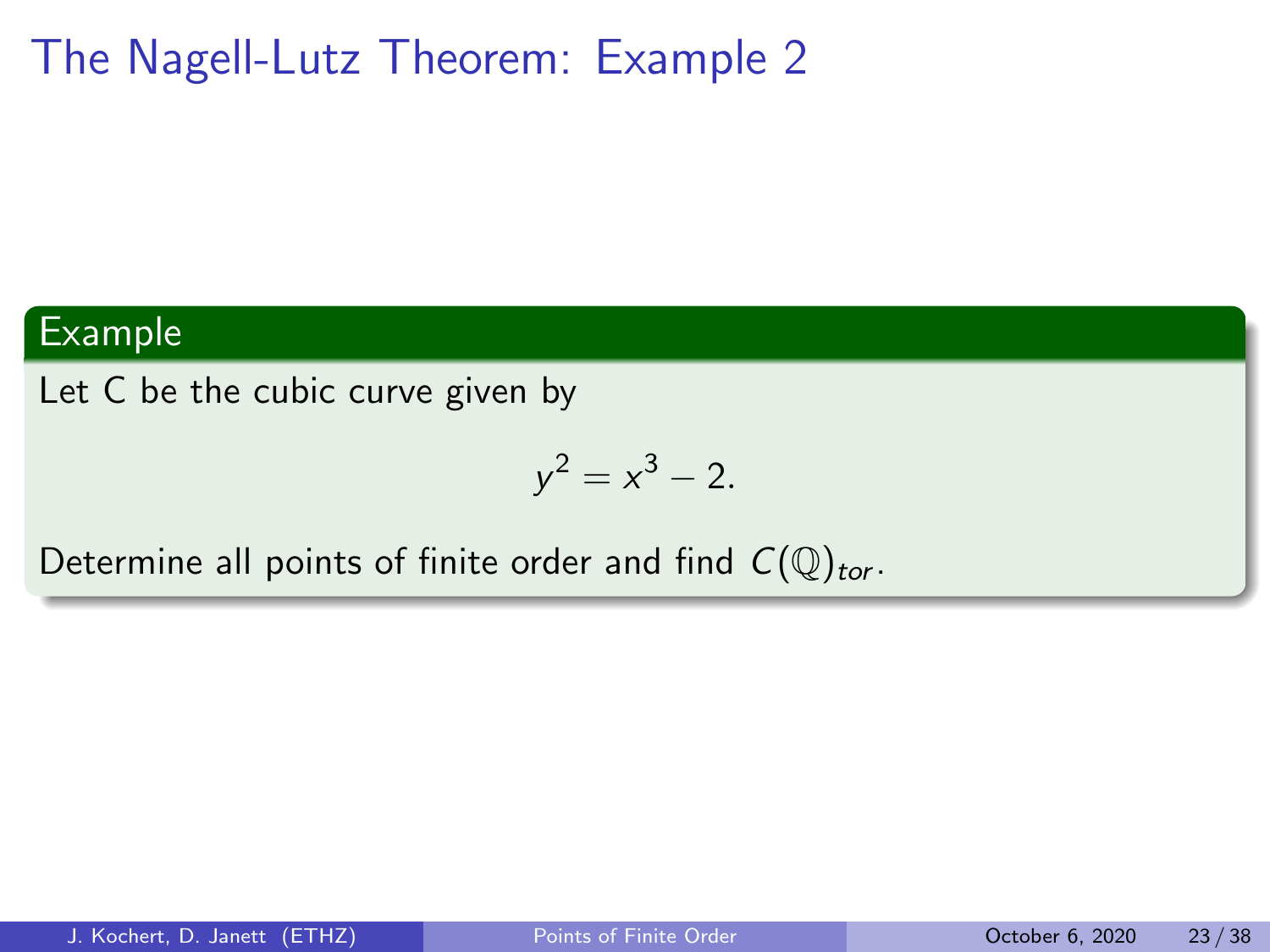# The Nagell-Lutz Theorem: Example 2

#### Example

Let C be the cubic curve given by

$$
y^2 = x^3 - 2.
$$

Determine all points of finite order and find  $C(\mathbb{Q})_{tor}$ .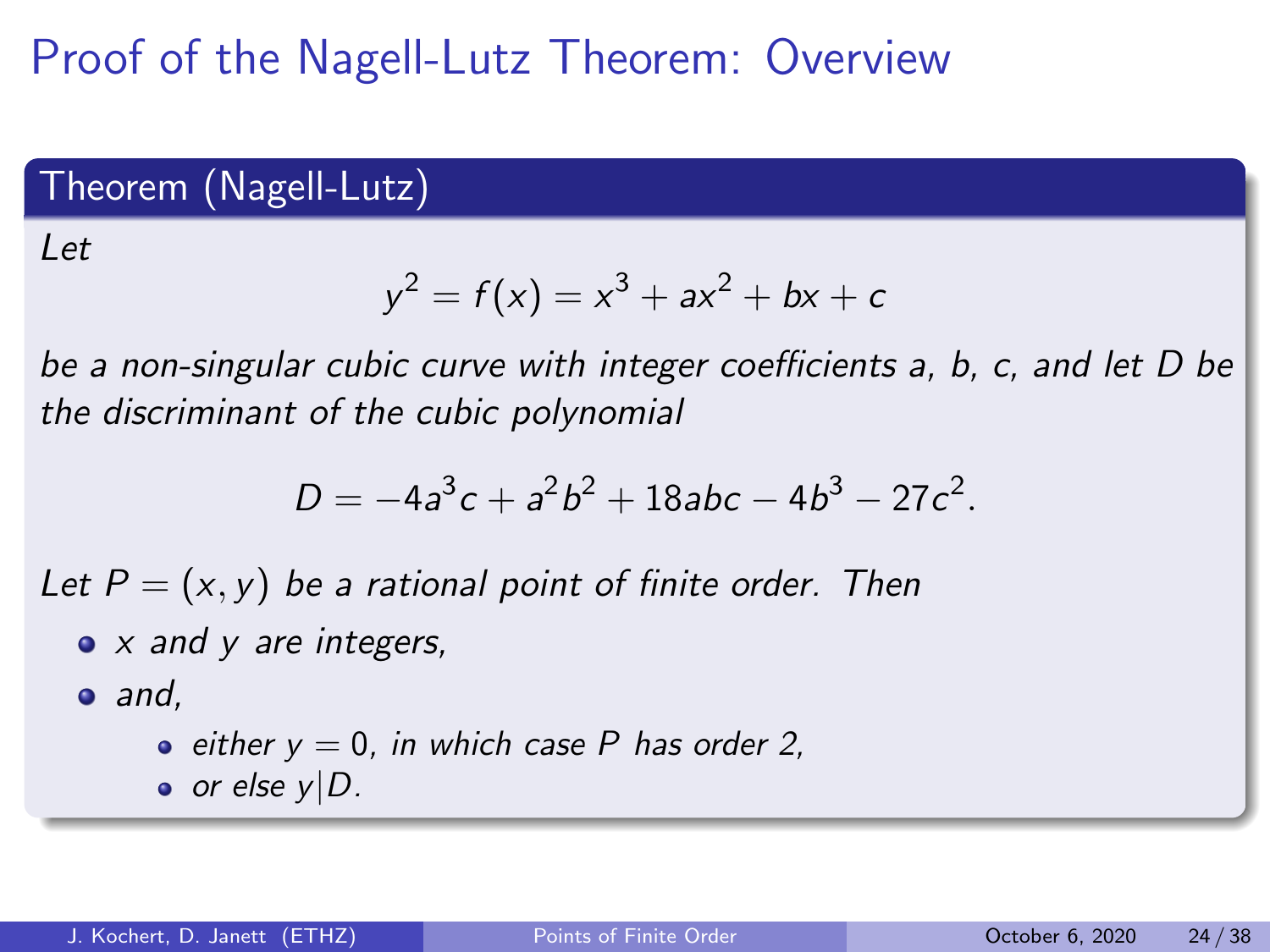# Proof of the Nagell-Lutz Theorem: Overview

### Theorem (Nagell-Lutz)

Let

$$
y^2 = f(x) = x^3 + ax^2 + bx + c
$$

be a non-singular cubic curve with integer coefficients a, b, c, and let D be the discriminant of the cubic polynomial

$$
D=-4a^3c+a^2b^2+18abc-4b^3-27c^2.
$$

Let  $P = (x, y)$  be a rational point of finite order. Then

 $\bullet$  x and y are integers,

 $\bullet$  and,

\n- either 
$$
y = 0
$$
, in which case P has order 2,
\n- or else  $y \mid D$ .
\n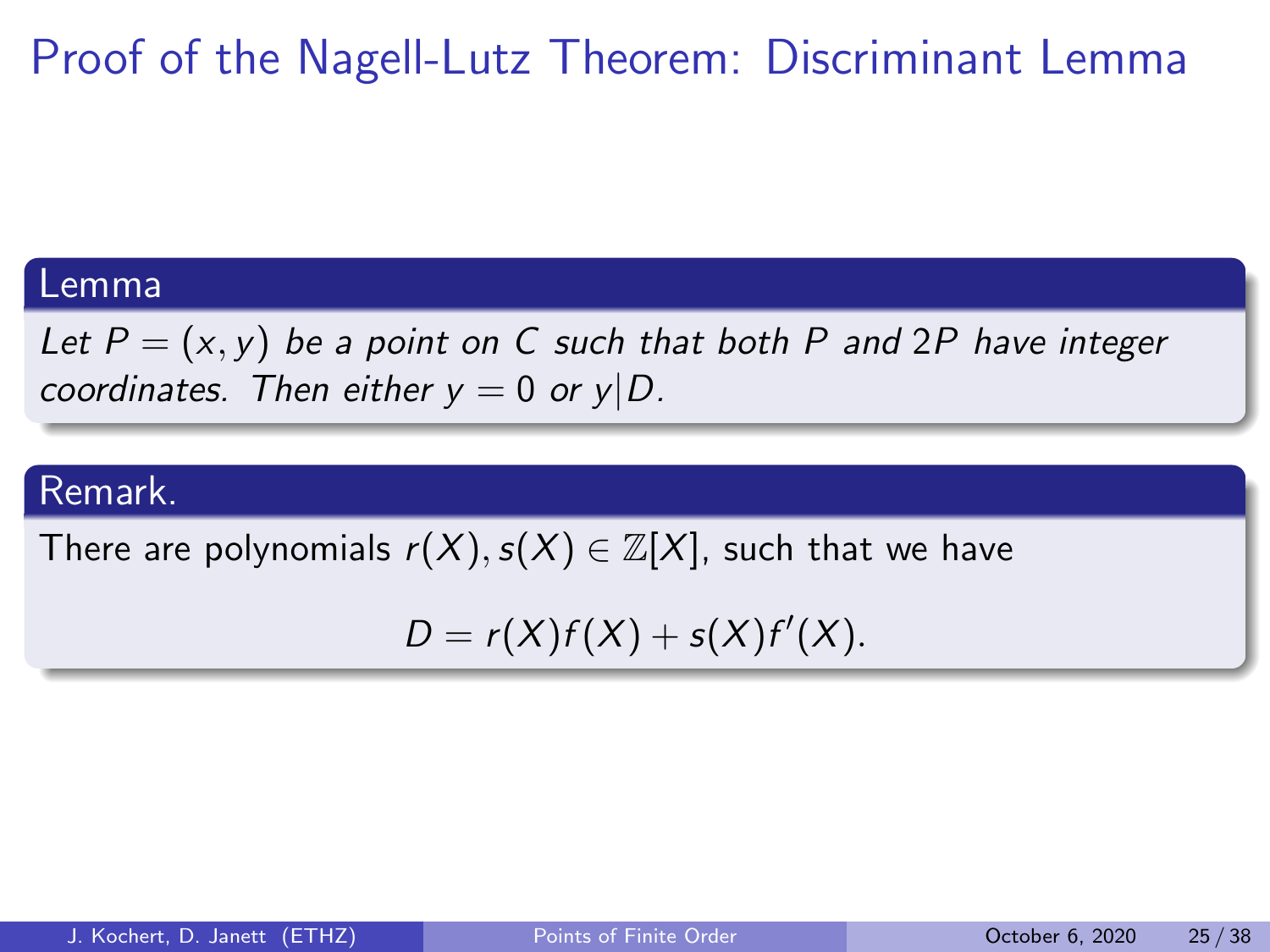# Proof of the Nagell-Lutz Theorem: Discriminant Lemma

#### Lemma

Let  $P = (x, y)$  be a point on C such that both P and 2P have integer coordinates. Then either  $y = 0$  or  $y|D$ .

#### Remark.

There are polynomials  $r(X), s(X) \in \mathbb{Z}[X]$ , such that we have

 $D = r(X)f(X) + s(X)f'(X).$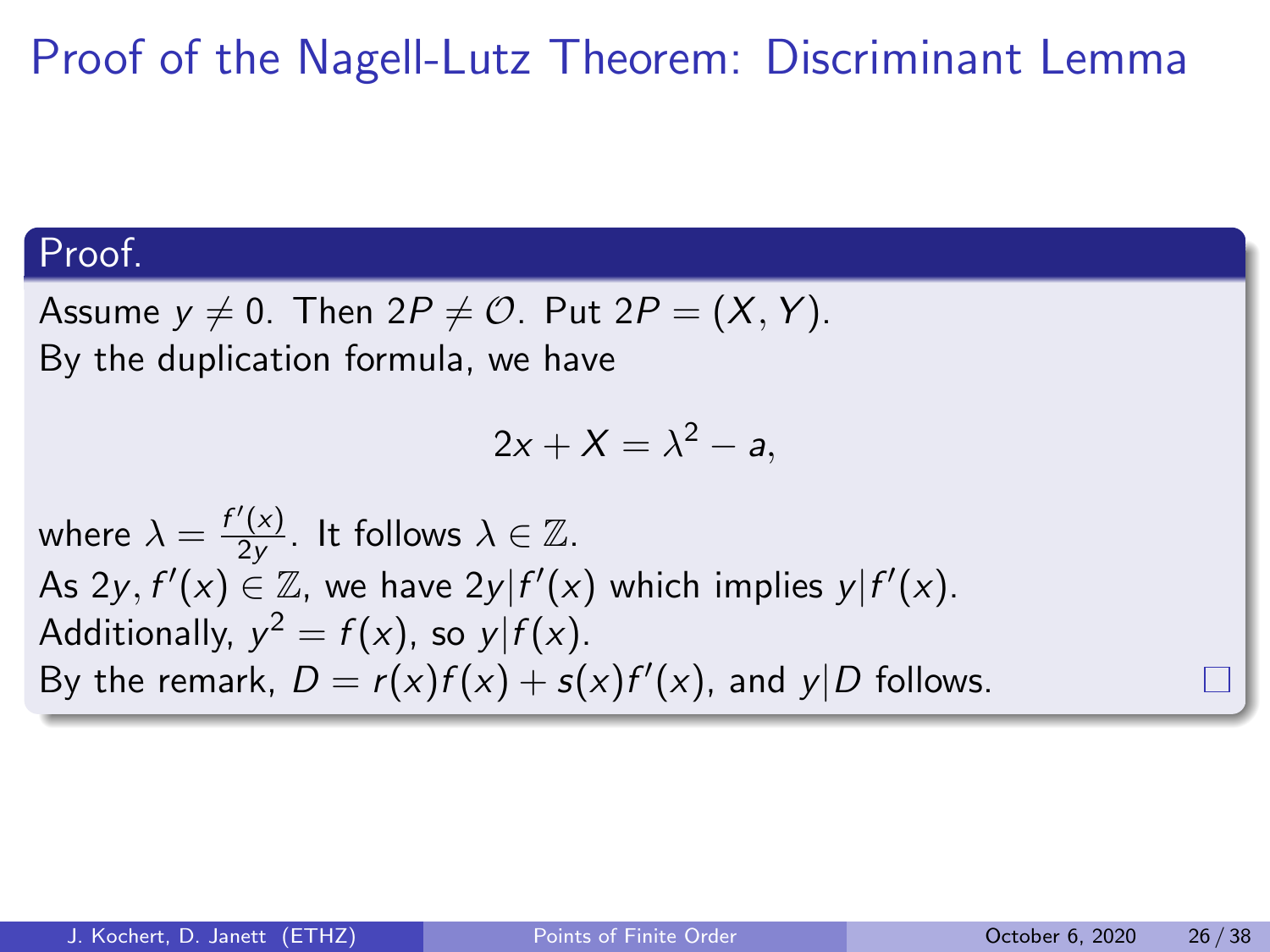# Proof of the Nagell-Lutz Theorem: Discriminant Lemma

### Proof.

Assume  $y \neq 0$ . Then  $2P \neq \mathcal{O}$ . Put  $2P = (X, Y)$ . By the duplication formula, we have

$$
2x + X = \lambda^2 - a,
$$

where  $\lambda = \frac{f'(x)}{2y}$  $\frac{\gamma(x)}{2y}$ . It follows  $\lambda \in \mathbb{Z}$ . As 2y,  $f'(x) \in \mathbb{Z}$ , we have 2y| $f'(x)$  which implies y| $f'(x)$ . Additionally,  $y^2 = f(x)$ , so  $y|f(x)$ . By the remark,  $D = r(x)f(x) + s(x)f'(x)$ , and  $y|D$  follows.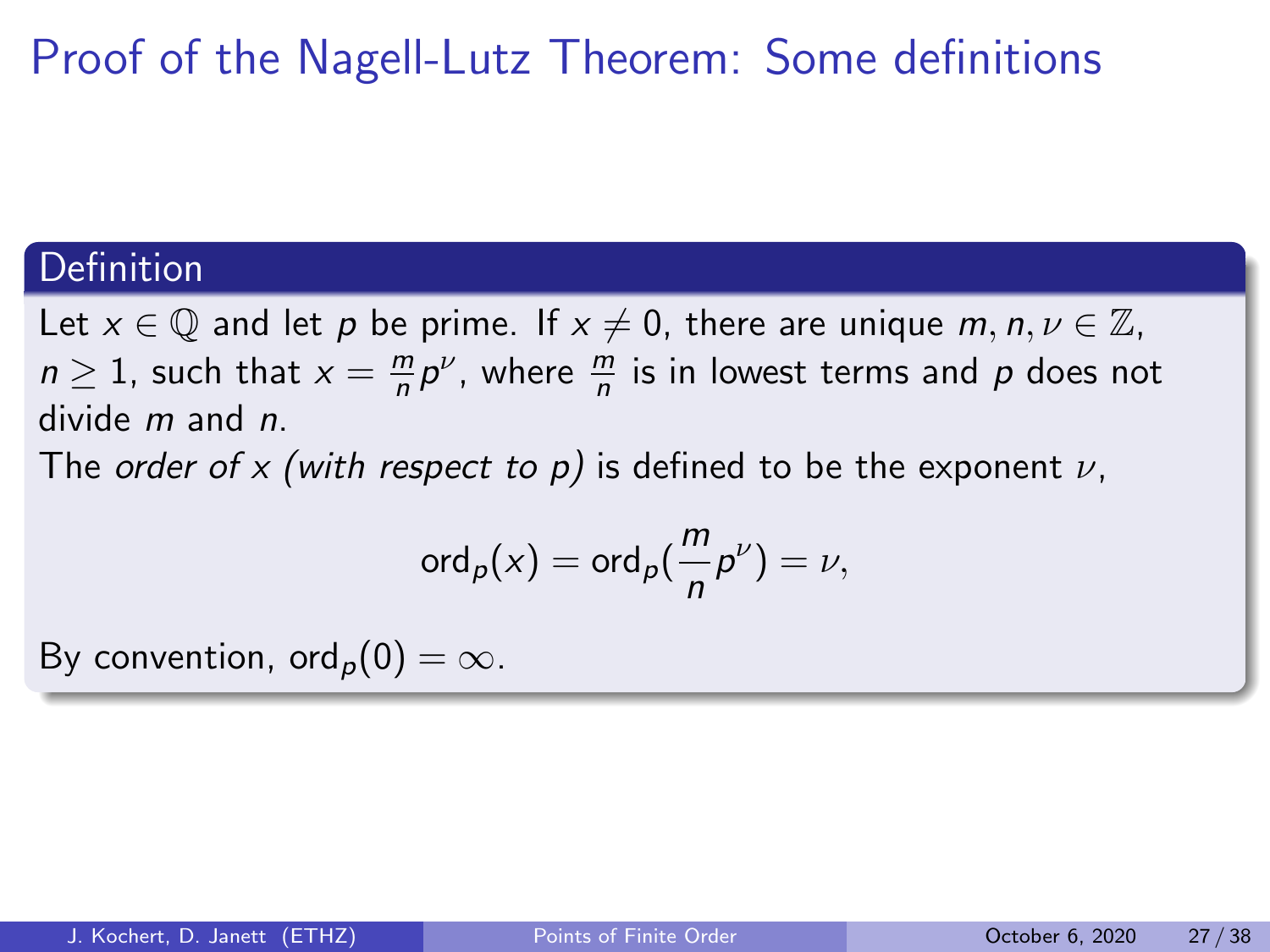# Proof of the Nagell-Lutz Theorem: Some definitions

### Definition

Let  $x \in \mathbb{Q}$  and let p be prime. If  $x \neq 0$ , there are unique m,  $n, \nu \in \mathbb{Z}$ ,  $n \geq 1$ , such that  $x = \frac{m}{n}$  $\frac{m}{n}p^{\nu}$ , where  $\frac{m}{n}$  is in lowest terms and  $p$  does not divide m and n.

The order of x (with respect to p) is defined to be the exponent  $\nu$ ,

$$
\operatorname{ord}_p(x)=\operatorname{ord}_p(\frac{m}{n}p^{\nu})=\nu,
$$

By convention, ord<sub>p</sub> $(0) = \infty$ .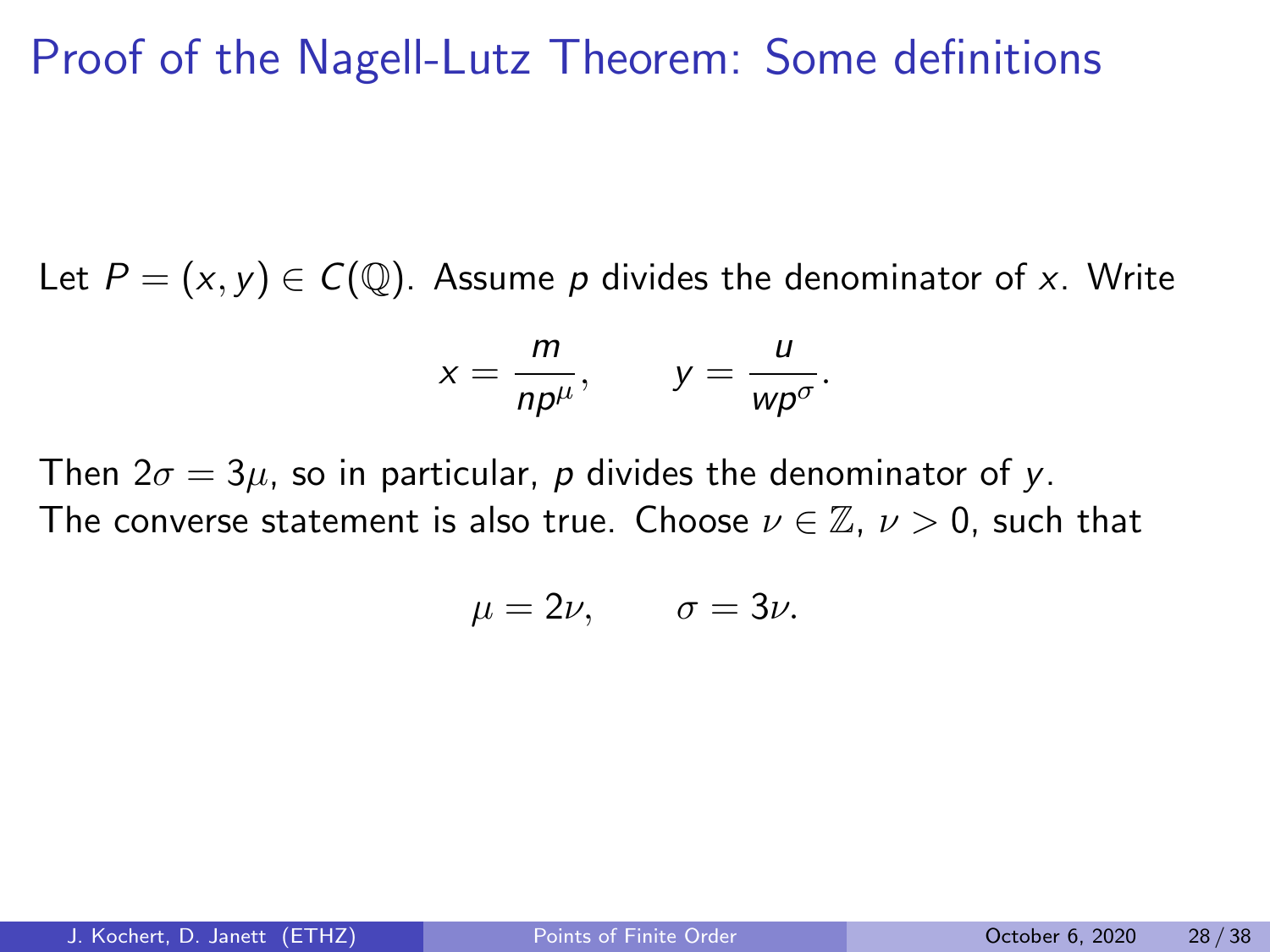## Proof of the Nagell-Lutz Theorem: Some definitions

Let  $P = (x, y) \in C(\mathbb{Q})$ . Assume p divides the denominator of x. Write

$$
x=\frac{m}{np^{\mu}}, \qquad y=\frac{u}{w p^{\sigma}}.
$$

Then  $2\sigma = 3\mu$ , so in particular, p divides the denominator of y. The converse statement is also true. Choose  $\nu \in \mathbb{Z}$ ,  $\nu > 0$ , such that

$$
\mu=2\nu,\qquad \sigma=3\nu.
$$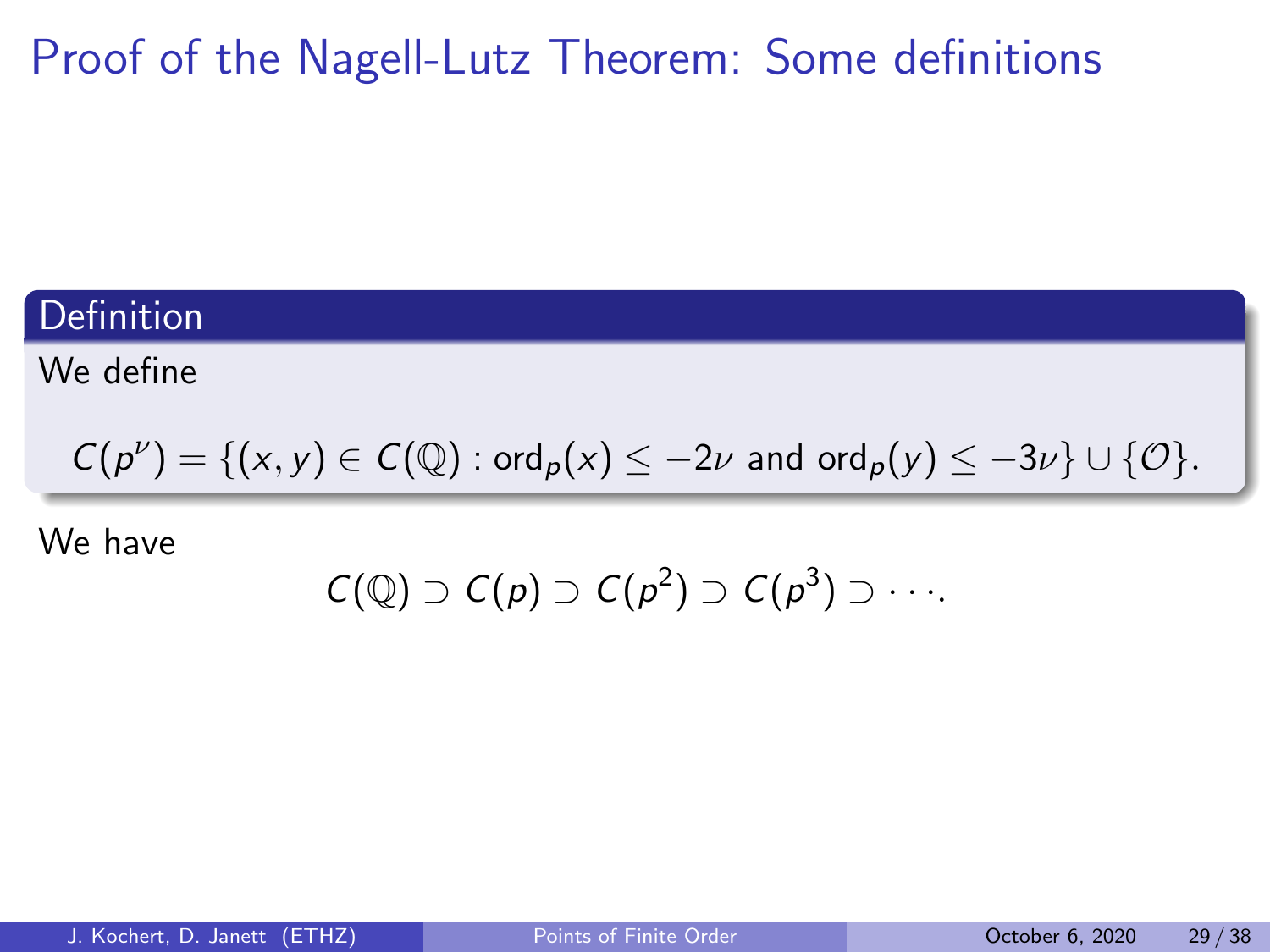# Proof of the Nagell-Lutz Theorem: Some definitions

### **Definition**

We define

$$
C(p^{\nu}) = \{ (x,y) \in C(\mathbb{Q}) : \text{ord}_p(x) \leq -2\nu \text{ and } \text{ord}_p(y) \leq -3\nu \} \cup \{ \mathcal{O} \}.
$$

We have

$$
C(\mathbb{Q}) \supset C(\rho) \supset C(\rho^2) \supset C(\rho^3) \supset \cdots
$$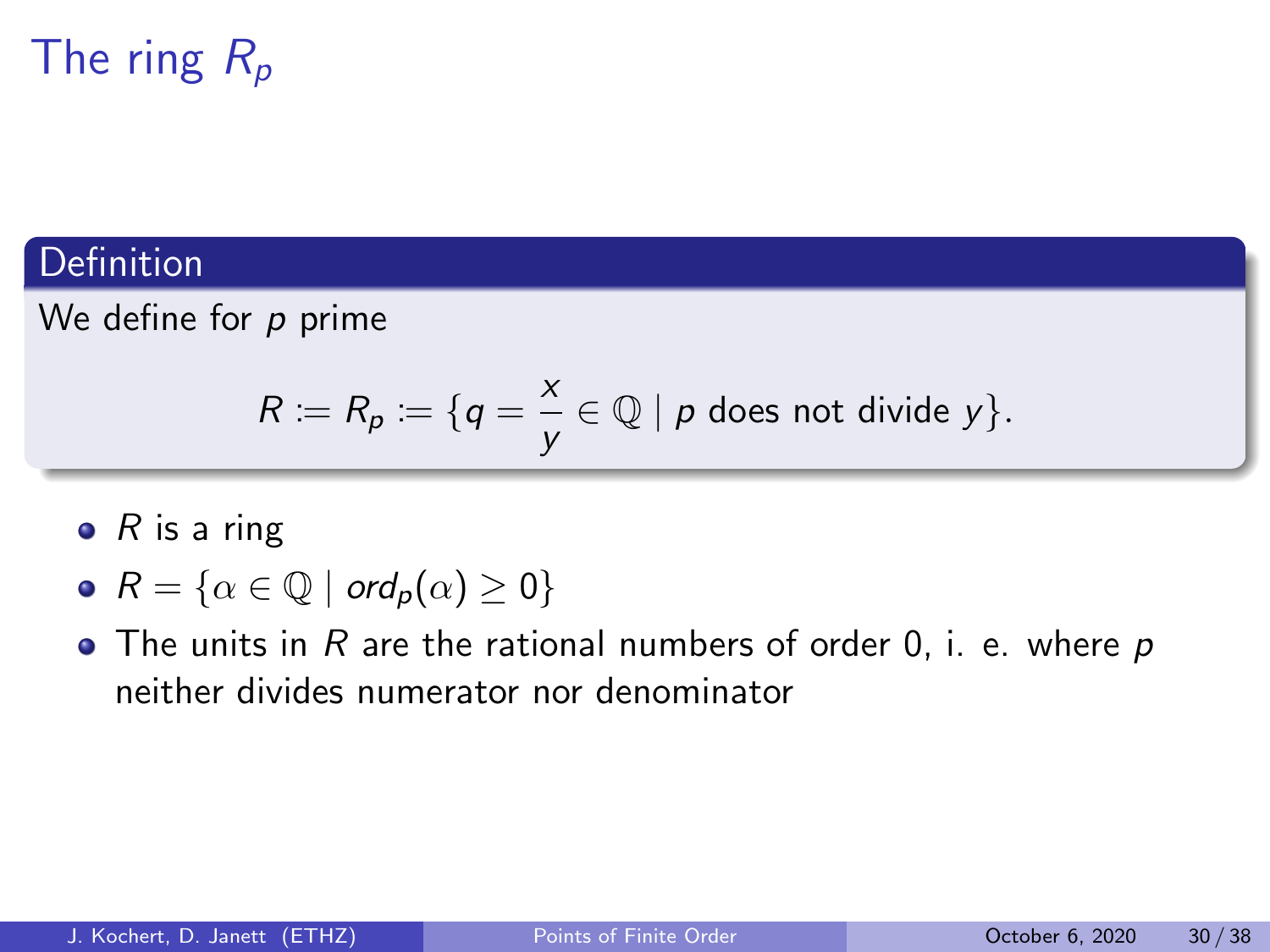# The ring  $R_p$

### Definition

We define for  $p$  prime

$$
R := R_p := \{q = \frac{x}{y} \in \mathbb{Q} \mid p \text{ does not divide } y\}.
$$

- $\bullet$  R is a ring
- $R = \{ \alpha \in \mathbb{Q} \mid \text{ord}_p(\alpha) \geq 0 \}$
- $\bullet$  The units in R are the rational numbers of order 0, i. e. where p neither divides numerator nor denominator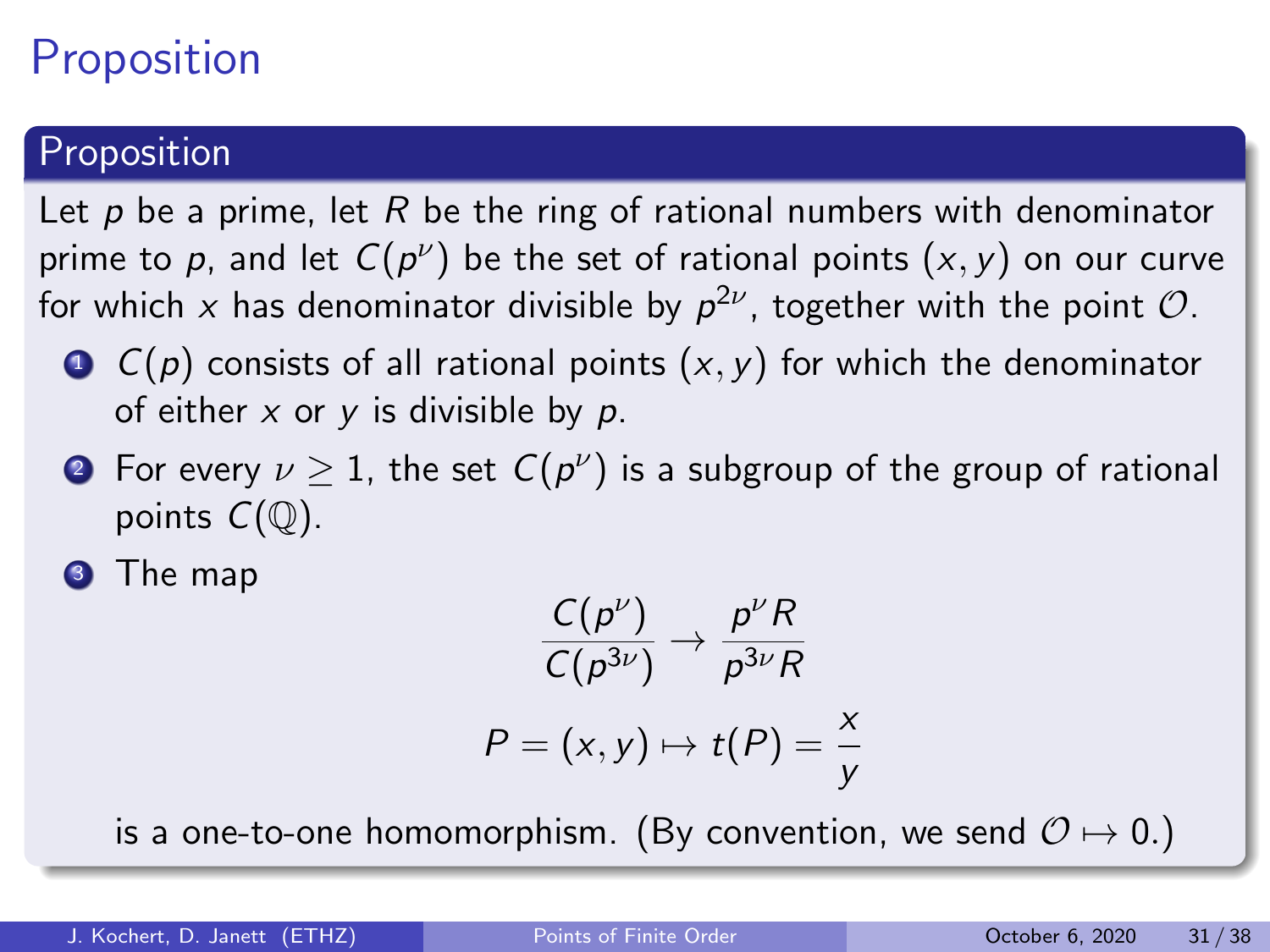# **Proposition**

### Proposition

Let p be a prime, let R be the ring of rational numbers with denominator prime to  $p$ , and let  $C(p^{\nu})$  be the set of rational points  $(x,y)$  on our curve for which  $x$  has denominator divisible by  $\rho^{2\nu}$ , together with the point  ${\cal O}.$ 

- $\bullet$   $C(p)$  consists of all rational points  $(x, y)$  for which the denominator of either  $x$  or  $y$  is divisible by  $p$ .
- $\bullet$  For every  $\nu \geq 1$ , the set  $C(p^{\nu})$  is a subgroup of the group of rational points  $C(\mathbb{O})$ .

<sup>3</sup> The map

$$
\frac{C(p^{\nu})}{C(p^{3\nu})} \to \frac{p^{\nu}R}{p^{3\nu}R}
$$

$$
P = (x, y) \mapsto t(P) = \frac{x}{y}
$$

is a one-to-one homomorphism. (By convention, we send  $\mathcal{O} \mapsto 0.$ )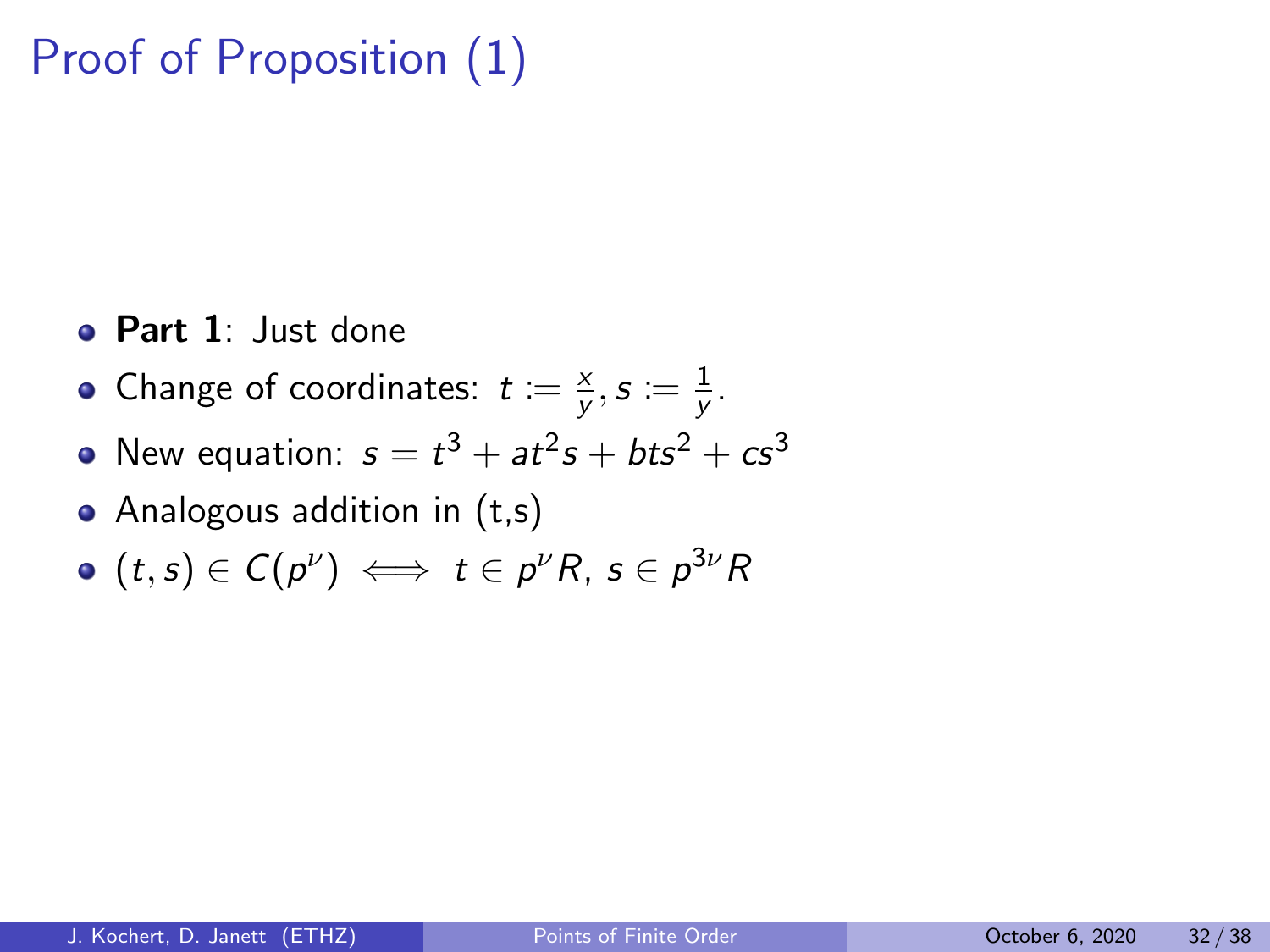# Proof of Proposition (1)

- Part 1: Just done
- Change of coordinates:  $t := \frac{x}{y}$  $\frac{x}{y},$   $s \coloneqq \frac{1}{y}$ y .
- New equation:  $s = t^3 + at^2s + bts^2 + cs^3$
- Analogous addition in (t,s)
- $(t,s)\in\mathcal{C}(\rho^\nu)\iff t\in\rho^\nu R,\,s\in\rho^{3\nu}R$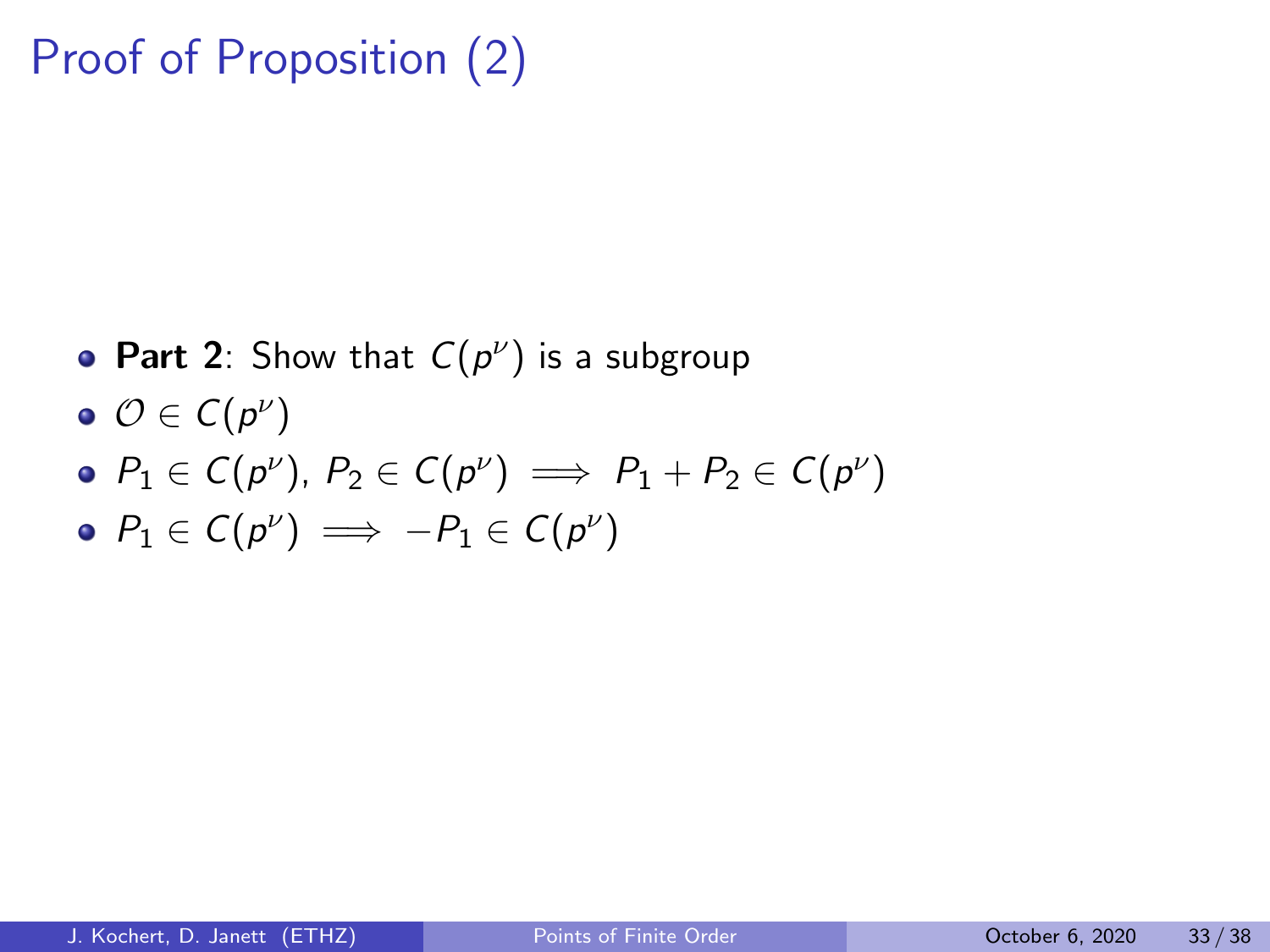# Proof of Proposition (2)

- Part 2: Show that  $C(p^{\nu})$  is a subgroup
- $\mathcal{O} \in \mathcal{C}(p^\nu)$
- $P_1 \in \mathsf{C}(p^\nu)$ ,  $P_2 \in \mathsf{C}(p^\nu) \implies P_1 + P_2 \in \mathsf{C}(p^\nu)$
- $P_1 \in \mathcal{C}(p^\nu) \implies -P_1 \in \mathcal{C}(p^\nu)$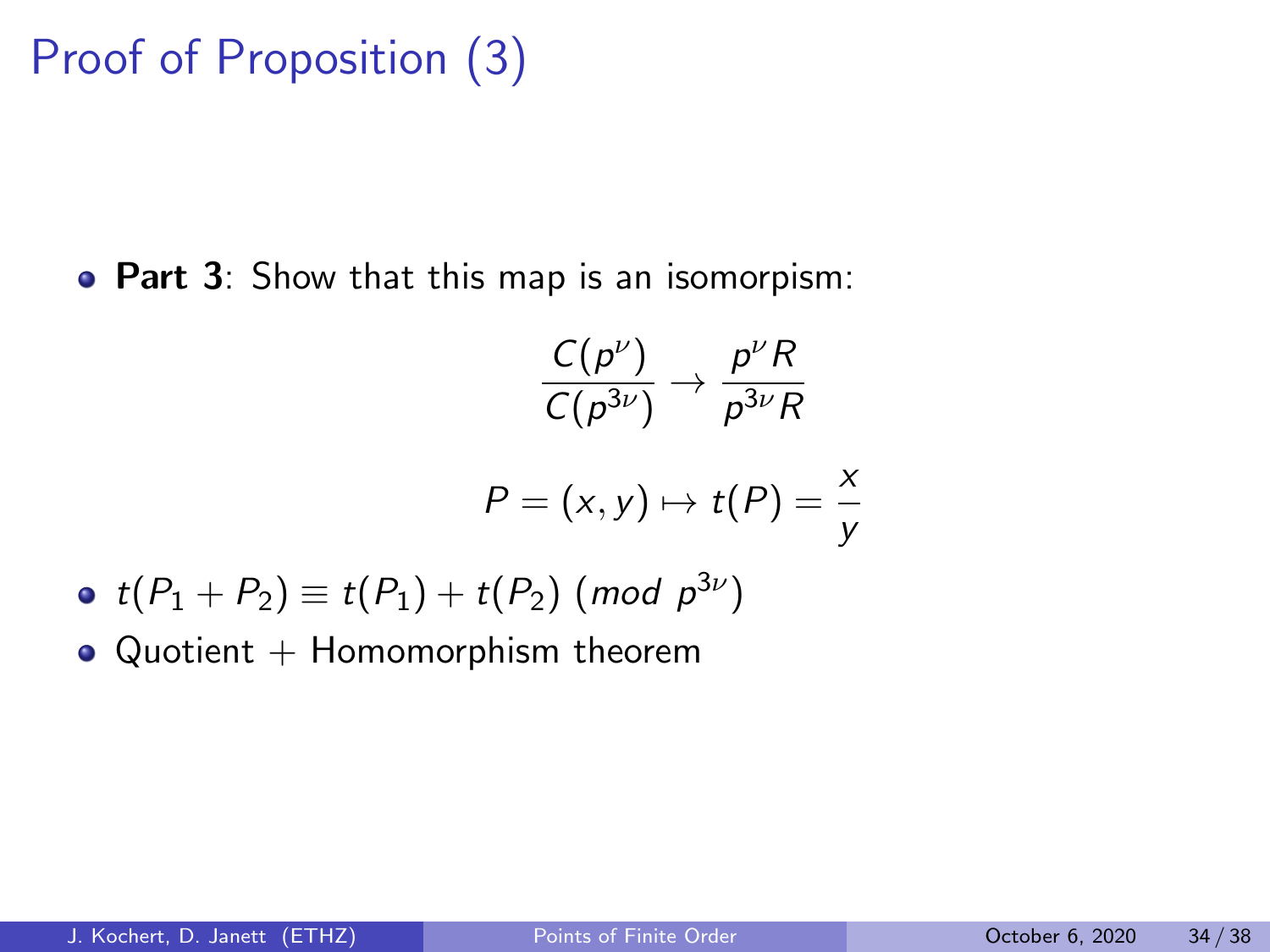# Proof of Proposition (3)

**• Part 3**: Show that this map is an isomorpism:

$$
\frac{C(p^{\nu})}{C(p^{3\nu})} \to \frac{p^{\nu}R}{p^{3\nu}R}
$$

$$
P = (x, y) \mapsto t(P) = \frac{x}{y}
$$

- $t(P_1+P_2)\equiv t(P_1)+t(P_2)$  (mod  $p^{3\nu})$
- $\bullet$  Quotient + Homomorphism theorem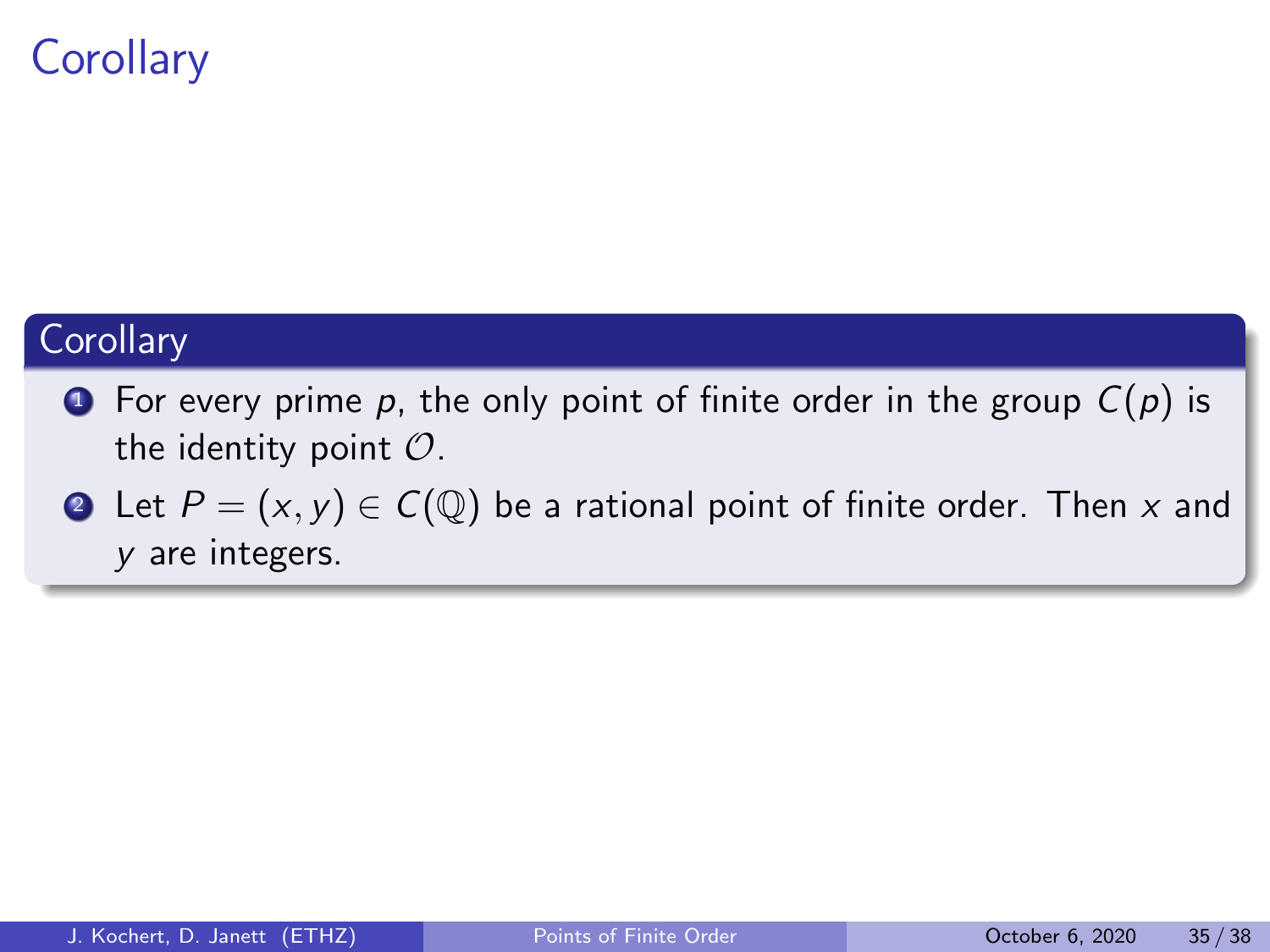# **Corollary**

#### **Corollary**

- **1** For every prime p, the only point of finite order in the group  $C(p)$  is the identity point  $\mathcal{O}$ .
- **2** Let  $P = (x, y) \in C(\mathbb{Q})$  be a rational point of finite order. Then x and y are integers.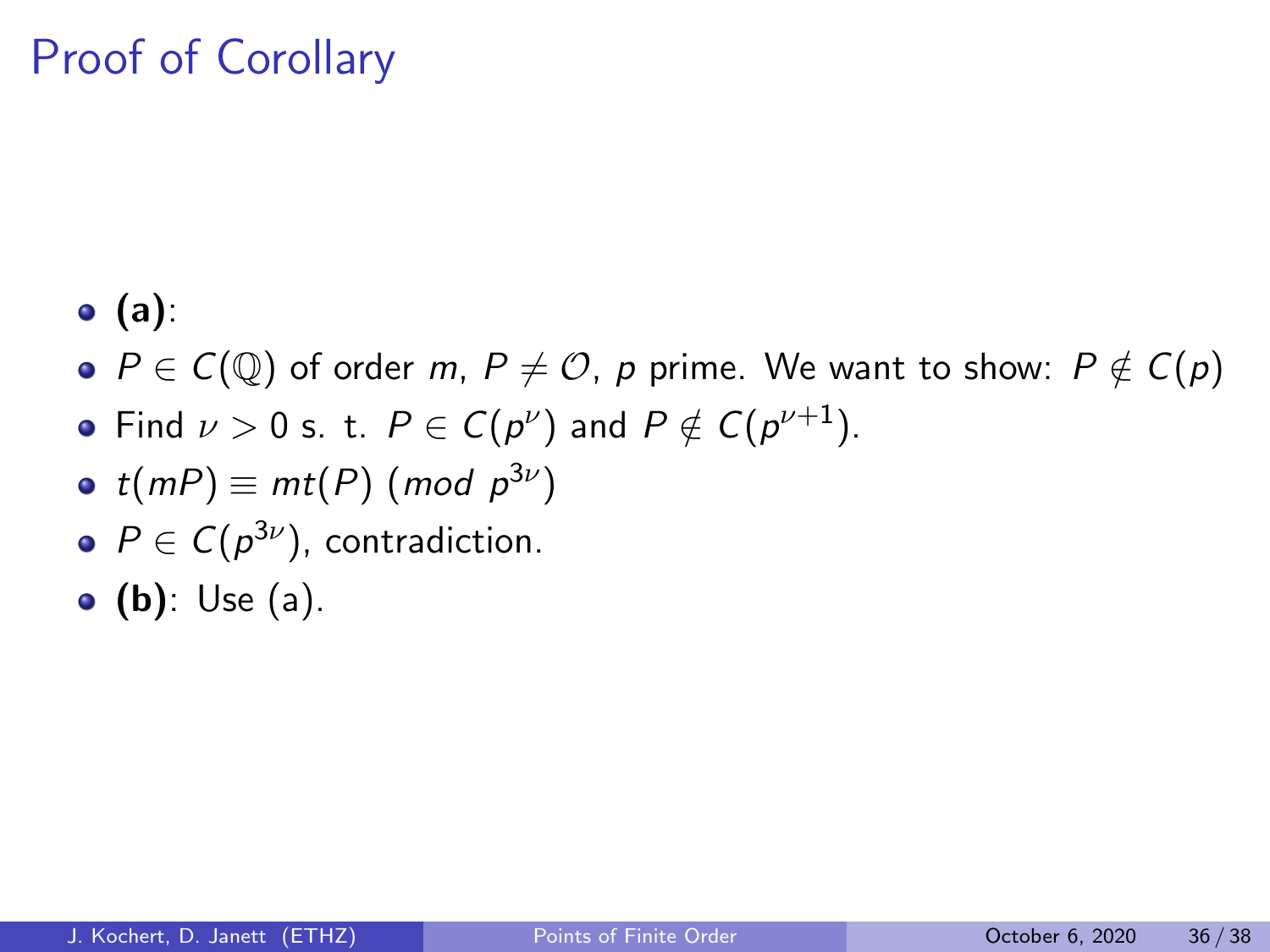# Proof of Corollary

- $\bullet$  (a):
- $\bullet$   $P \in C(\mathbb{Q})$  of order m,  $P \neq \mathcal{O}$ , p prime. We want to show:  $P \notin C(p)$
- Find  $\nu > 0$  s. t.  $P \in C(p^{\nu})$  and  $P \notin C(p^{\nu+1})$ .
- $t(mP) \equiv mt(P)$  (mod  $p^{3\nu})$
- $P \in C(p^{3\nu})$ , contradiction.
- $\bullet$  (b): Use (a).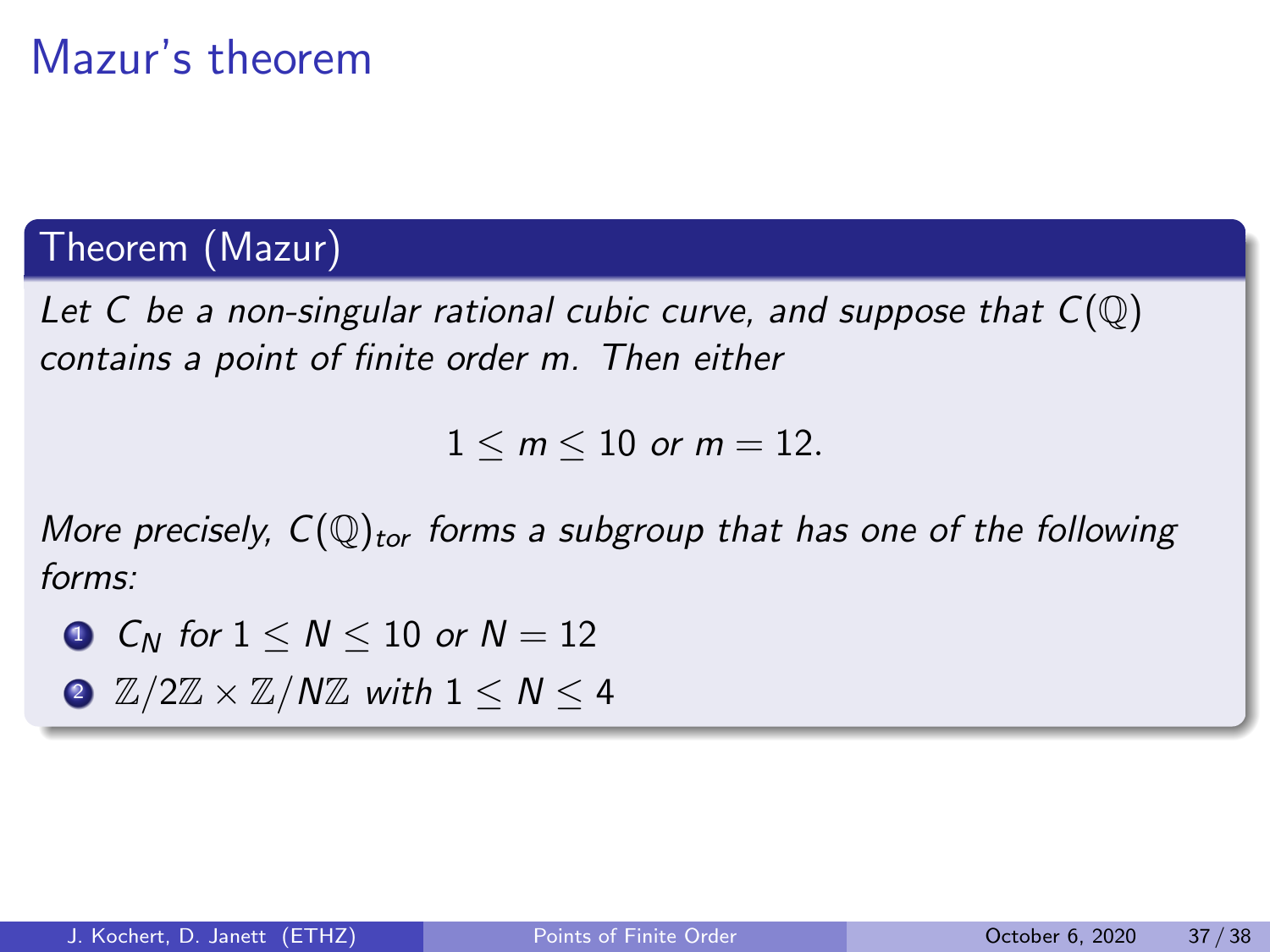# Mazur's theorem

### Theorem (Mazur)

Let C be a non-singular rational cubic curve, and suppose that  $C(\mathbb{Q})$ contains a point of finite order m. Then either

 $1 \le m \le 10$  or  $m = 12$ .

More precisely,  $C(\mathbb{Q})_{\text{tor}}$  forms a subgroup that has one of the following forms:

- **1** C<sub>N</sub> for  $1 \leq N \leq 10$  or  $N = 12$
- 2  $\mathbb{Z}/2\mathbb{Z} \times \mathbb{Z}/N\mathbb{Z}$  with  $1 \leq N \leq 4$